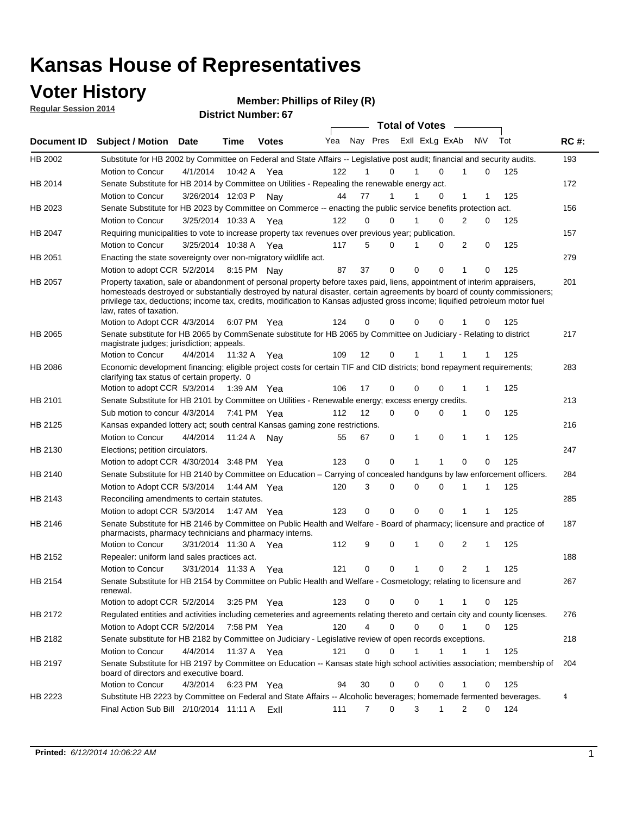## **Voter History**

**Regular Session 2014**

| <b>District Number: 67</b> |
|----------------------------|
|                            |

|                |                                                                                                                                                                                                                                                                                                                                                                                                                  |                       |             |              |     |                |             | <b>Total of Votes</b> |                         |                |     |     |             |
|----------------|------------------------------------------------------------------------------------------------------------------------------------------------------------------------------------------------------------------------------------------------------------------------------------------------------------------------------------------------------------------------------------------------------------------|-----------------------|-------------|--------------|-----|----------------|-------------|-----------------------|-------------------------|----------------|-----|-----|-------------|
| Document ID    | <b>Subject / Motion Date</b>                                                                                                                                                                                                                                                                                                                                                                                     |                       | Time        | <b>Votes</b> | Yea |                |             |                       | Nay Pres Exll ExLg ExAb |                | N\V | Tot | <b>RC#:</b> |
| HB 2002        | Substitute for HB 2002 by Committee on Federal and State Affairs -- Legislative post audit; financial and security audits.                                                                                                                                                                                                                                                                                       |                       |             |              |     |                |             |                       |                         |                |     |     | 193         |
|                | Motion to Concur                                                                                                                                                                                                                                                                                                                                                                                                 | 4/1/2014              | 10:42 A     | Yea          | 122 |                | $\Omega$    |                       | $\Omega$                | 1              | 0   | 125 |             |
| HB 2014        | Senate Substitute for HB 2014 by Committee on Utilities - Repealing the renewable energy act.                                                                                                                                                                                                                                                                                                                    |                       |             |              |     |                |             |                       |                         |                |     |     | 172         |
|                | Motion to Concur                                                                                                                                                                                                                                                                                                                                                                                                 | 3/26/2014 12:03 P     |             | Nav          | 44  | 77             | 1           |                       | 0                       | 1              |     | 125 |             |
| HB 2023        | Senate Substitute for HB 2023 by Committee on Commerce -- enacting the public service benefits protection act.                                                                                                                                                                                                                                                                                                   |                       |             |              |     |                |             |                       |                         |                |     |     | 156         |
|                | Motion to Concur                                                                                                                                                                                                                                                                                                                                                                                                 | 3/25/2014 10:33 A     |             | Yea          | 122 | 0              | $\Omega$    | 1                     | $\Omega$                | 2              | 0   | 125 |             |
| HB 2047        | Requiring municipalities to vote to increase property tax revenues over previous year; publication.                                                                                                                                                                                                                                                                                                              |                       |             |              |     |                |             |                       |                         |                |     |     | 157         |
|                | Motion to Concur                                                                                                                                                                                                                                                                                                                                                                                                 | 3/25/2014 10:38 A     |             | Yea          | 117 | 5              | $\Omega$    | 1                     | $\Omega$                | 2              | 0   | 125 |             |
| HB 2051        | Enacting the state sovereignty over non-migratory wildlife act.                                                                                                                                                                                                                                                                                                                                                  |                       |             |              |     |                |             |                       |                         |                |     |     | 279         |
|                | Motion to adopt CCR 5/2/2014 8:15 PM Nay                                                                                                                                                                                                                                                                                                                                                                         |                       |             |              | 87  | 37             | $\mathbf 0$ | $\mathbf 0$           | 0                       | 1              | 0   | 125 |             |
| HB 2057        | Property taxation, sale or abandonment of personal property before taxes paid, liens, appointment of interim appraisers,<br>homesteads destroyed or substantially destroyed by natural disaster, certain agreements by board of county commissioners;<br>privilege tax, deductions; income tax, credits, modification to Kansas adjusted gross income; liquified petroleum motor fuel<br>law, rates of taxation. |                       |             |              |     |                |             |                       |                         |                |     |     | 201         |
|                | Motion to Adopt CCR 4/3/2014                                                                                                                                                                                                                                                                                                                                                                                     |                       |             | 6:07 PM Yea  | 124 | 0              | 0           | 0                     | $\Omega$                |                | 0   | 125 |             |
| HB 2065        | Senate substitute for HB 2065 by CommSenate substitute for HB 2065 by Committee on Judiciary - Relating to district<br>magistrate judges; jurisdiction; appeals.                                                                                                                                                                                                                                                 |                       |             |              |     |                |             |                       |                         |                |     |     | 217         |
|                | Motion to Concur                                                                                                                                                                                                                                                                                                                                                                                                 | 4/4/2014              | 11:32 A     | Yea          | 109 | 12             | 0           | 1                     | 1                       | 1              |     | 125 |             |
| <b>HB 2086</b> | Economic development financing; eligible project costs for certain TIF and CID districts; bond repayment requirements;<br>clarifying tax status of certain property. 0                                                                                                                                                                                                                                           |                       |             |              |     |                |             |                       |                         |                |     |     | 283         |
|                | Motion to adopt CCR 5/3/2014 1:39 AM Yea                                                                                                                                                                                                                                                                                                                                                                         |                       |             |              | 106 | 17             | 0           | $\mathbf 0$           | $\Omega$                | 1              |     | 125 |             |
| HB 2101        | Senate Substitute for HB 2101 by Committee on Utilities - Renewable energy; excess energy credits.                                                                                                                                                                                                                                                                                                               |                       |             |              |     |                |             |                       |                         |                |     |     | 213         |
|                | Sub motion to concur 4/3/2014 7:41 PM Yea                                                                                                                                                                                                                                                                                                                                                                        |                       |             |              | 112 | 12             | 0           | 0                     | 0                       | 1              | 0   | 125 |             |
| HB 2125        | Kansas expanded lottery act; south central Kansas gaming zone restrictions.                                                                                                                                                                                                                                                                                                                                      |                       |             |              |     |                |             |                       |                         |                |     |     | 216         |
|                | Motion to Concur                                                                                                                                                                                                                                                                                                                                                                                                 | 4/4/2014              | 11:24 A     | Nav          | 55  | 67             | 0           | 1                     | 0                       | 1              | 1   | 125 |             |
| HB 2130        | Elections; petition circulators.                                                                                                                                                                                                                                                                                                                                                                                 |                       |             |              |     |                |             |                       |                         |                |     |     | 247         |
|                | Motion to adopt CCR 4/30/2014 3:48 PM Yea                                                                                                                                                                                                                                                                                                                                                                        |                       |             |              | 123 | 0              | 0           | 1                     | 1                       | 0              | 0   | 125 |             |
| HB 2140        | Senate Substitute for HB 2140 by Committee on Education – Carrying of concealed handguns by law enforcement officers.                                                                                                                                                                                                                                                                                            |                       |             |              |     |                |             |                       |                         |                |     |     | 284         |
|                | Motion to Adopt CCR 5/3/2014 1:44 AM Yea                                                                                                                                                                                                                                                                                                                                                                         |                       |             |              | 120 | 3              | 0           | 0                     | $\Omega$                | 1              | 1   | 125 |             |
| HB 2143        | Reconciling amendments to certain statutes.                                                                                                                                                                                                                                                                                                                                                                      |                       |             |              |     |                |             |                       |                         |                |     |     | 285         |
|                | Motion to adopt CCR 5/3/2014 1:47 AM Yea                                                                                                                                                                                                                                                                                                                                                                         |                       |             |              | 123 | 0              | 0           | $\mathbf 0$           | 0                       | 1              | 1   | 125 |             |
| <b>HB 2146</b> | Senate Substitute for HB 2146 by Committee on Public Health and Welfare - Board of pharmacy; licensure and practice of<br>pharmacists, pharmacy technicians and pharmacy interns.                                                                                                                                                                                                                                |                       |             |              |     |                |             |                       |                         |                |     |     | 187         |
|                | Motion to Concur                                                                                                                                                                                                                                                                                                                                                                                                 | 3/31/2014 11:30 A Yea |             |              | 112 | 9              | 0           | 1                     | 0                       | 2              | 1   | 125 |             |
| HB 2152        | Repealer: uniform land sales practices act.                                                                                                                                                                                                                                                                                                                                                                      |                       |             |              |     |                |             |                       |                         |                |     |     | 188         |
|                | Motion to Concur                                                                                                                                                                                                                                                                                                                                                                                                 | 3/31/2014 11:33 A     |             | Yea          | 121 | 0              | 0           | $\mathbf{1}$          | 0                       | $\overline{c}$ | 1   | 125 |             |
| HB 2154        | Senate Substitute for HB 2154 by Committee on Public Health and Welfare - Cosmetology; relating to licensure and<br>renewal.                                                                                                                                                                                                                                                                                     |                       |             |              |     |                |             |                       |                         |                |     |     | 267         |
|                | Motion to adopt CCR 5/2/2014                                                                                                                                                                                                                                                                                                                                                                                     |                       |             | 3:25 PM Yea  | 123 | 0              | 0           | 0                     | 1                       |                | 0   | 125 |             |
| HB 2172        | Regulated entities and activities including cemeteries and agreements relating thereto and certain city and county licenses.                                                                                                                                                                                                                                                                                     |                       |             |              |     |                |             |                       |                         |                |     |     | 276         |
|                | Motion to Adopt CCR 5/2/2014                                                                                                                                                                                                                                                                                                                                                                                     |                       | 7:58 PM Yea |              | 120 | $\overline{4}$ | 0           | $\mathbf 0$           | $\mathbf 0$             | 1              | 0   | 125 |             |
| HB 2182        | Senate substitute for HB 2182 by Committee on Judiciary - Legislative review of open records exceptions.                                                                                                                                                                                                                                                                                                         |                       |             |              |     |                |             |                       |                         |                |     |     | 218         |
|                | Motion to Concur                                                                                                                                                                                                                                                                                                                                                                                                 | 4/4/2014 11:37 A Yea  |             |              | 121 | 0              | 0           | 1                     | 1                       |                | 1   | 125 |             |
| HB 2197        | Senate Substitute for HB 2197 by Committee on Education -- Kansas state high school activities association; membership of<br>board of directors and executive board.                                                                                                                                                                                                                                             |                       |             |              |     |                |             |                       |                         |                |     |     | 204         |
|                | Motion to Concur                                                                                                                                                                                                                                                                                                                                                                                                 | 4/3/2014              |             | 6:23 PM Yea  | 94  | 30             | 0           | 0                     | $\mathbf 0$             | 1              | 0   | 125 |             |
| HB 2223        | Substitute HB 2223 by Committee on Federal and State Affairs -- Alcoholic beverages; homemade fermented beverages.                                                                                                                                                                                                                                                                                               |                       |             |              |     |                |             |                       |                         |                |     |     | 4           |
|                | Final Action Sub Bill 2/10/2014 11:11 A                                                                                                                                                                                                                                                                                                                                                                          |                       |             | ExII         | 111 | 7              | 0           | 3                     | $\mathbf{1}$            | 2              | 0   | 124 |             |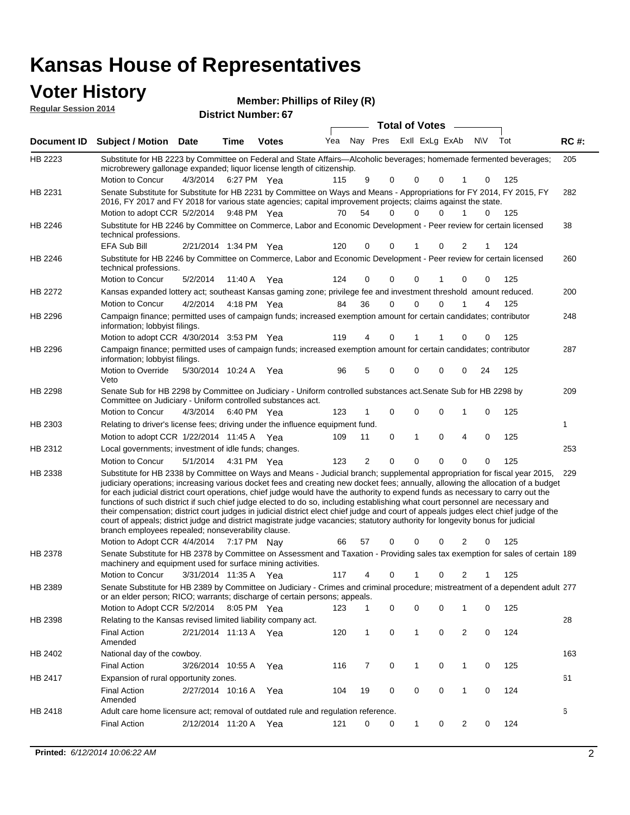#### **Voter History**

| <b>Voter History</b>        | Member: Phillips of Riley (R) |
|-----------------------------|-------------------------------|
| <b>Regular Session 2014</b> | <b>District Number: 67</b>    |
|                             |                               |

|         |                                                                                                                                                                                                                                                                                                                                                                                                                                                                                                                                                                                                                                                                                                                                                                                                                                                                                                                 |                       |             |              |     |                |             | <b>Total of Votes</b>   |          |                |            |     |             |
|---------|-----------------------------------------------------------------------------------------------------------------------------------------------------------------------------------------------------------------------------------------------------------------------------------------------------------------------------------------------------------------------------------------------------------------------------------------------------------------------------------------------------------------------------------------------------------------------------------------------------------------------------------------------------------------------------------------------------------------------------------------------------------------------------------------------------------------------------------------------------------------------------------------------------------------|-----------------------|-------------|--------------|-----|----------------|-------------|-------------------------|----------|----------------|------------|-----|-------------|
|         | Document ID Subject / Motion Date                                                                                                                                                                                                                                                                                                                                                                                                                                                                                                                                                                                                                                                                                                                                                                                                                                                                               |                       | Time        | <b>Votes</b> | Yea |                |             | Nay Pres Exll ExLg ExAb |          |                | <b>NIV</b> | Tot | <b>RC#:</b> |
| HB 2223 | Substitute for HB 2223 by Committee on Federal and State Affairs—Alcoholic beverages; homemade fermented beverages;<br>microbrewery gallonage expanded; liquor license length of citizenship.                                                                                                                                                                                                                                                                                                                                                                                                                                                                                                                                                                                                                                                                                                                   | 4/3/2014              | 6:27 PM Yea |              | 115 | 9              | 0           | 0                       | $\Omega$ | 1              | 0          | 125 | 205         |
| HB 2231 | Motion to Concur<br>Senate Substitute for Substitute for HB 2231 by Committee on Ways and Means - Appropriations for FY 2014, FY 2015, FY<br>2016, FY 2017 and FY 2018 for various state agencies; capital improvement projects; claims against the state.                                                                                                                                                                                                                                                                                                                                                                                                                                                                                                                                                                                                                                                      |                       |             |              |     |                |             |                         |          |                |            |     | 282         |
|         | Motion to adopt CCR 5/2/2014 9:48 PM Yea                                                                                                                                                                                                                                                                                                                                                                                                                                                                                                                                                                                                                                                                                                                                                                                                                                                                        |                       |             |              | 70  | 54             | $\Omega$    | $\Omega$                | 0        | 1              | $\Omega$   | 125 |             |
| HB 2246 | Substitute for HB 2246 by Committee on Commerce, Labor and Economic Development - Peer review for certain licensed<br>technical professions.                                                                                                                                                                                                                                                                                                                                                                                                                                                                                                                                                                                                                                                                                                                                                                    |                       |             |              |     |                |             |                         |          |                |            |     | 38          |
|         | <b>EFA Sub Bill</b>                                                                                                                                                                                                                                                                                                                                                                                                                                                                                                                                                                                                                                                                                                                                                                                                                                                                                             | 2/21/2014 1:34 PM Yea |             |              | 120 | 0              | 0           | 1                       | 0        | 2              |            | 124 |             |
| HB 2246 | Substitute for HB 2246 by Committee on Commerce, Labor and Economic Development - Peer review for certain licensed<br>technical professions.                                                                                                                                                                                                                                                                                                                                                                                                                                                                                                                                                                                                                                                                                                                                                                    |                       |             |              |     |                |             |                         |          |                |            |     | 260         |
|         | Motion to Concur                                                                                                                                                                                                                                                                                                                                                                                                                                                                                                                                                                                                                                                                                                                                                                                                                                                                                                | 5/2/2014              | 11:40 A     | Yea          | 124 | 0              | 0           | 0                       |          | 0              | 0          | 125 |             |
| HB 2272 | Kansas expanded lottery act; southeast Kansas gaming zone; privilege fee and investment threshold amount reduced.                                                                                                                                                                                                                                                                                                                                                                                                                                                                                                                                                                                                                                                                                                                                                                                               |                       |             |              |     |                |             |                         |          |                |            |     | 200         |
|         | Motion to Concur                                                                                                                                                                                                                                                                                                                                                                                                                                                                                                                                                                                                                                                                                                                                                                                                                                                                                                | 4/2/2014              |             | 4:18 PM Yea  | 84  | 36             | $\mathbf 0$ | 0                       | $\Omega$ |                | 4          | 125 |             |
| HB 2296 | Campaign finance; permitted uses of campaign funds; increased exemption amount for certain candidates; contributor<br>information; lobbyist filings.                                                                                                                                                                                                                                                                                                                                                                                                                                                                                                                                                                                                                                                                                                                                                            |                       |             |              |     |                |             |                         |          |                |            |     | 248         |
|         | Motion to adopt CCR 4/30/2014 3:53 PM Yea                                                                                                                                                                                                                                                                                                                                                                                                                                                                                                                                                                                                                                                                                                                                                                                                                                                                       |                       |             |              | 119 | 4              | 0           |                         |          | 0              | 0          | 125 |             |
| HB 2296 | Campaign finance; permitted uses of campaign funds; increased exemption amount for certain candidates; contributor<br>information; lobbyist filings.                                                                                                                                                                                                                                                                                                                                                                                                                                                                                                                                                                                                                                                                                                                                                            |                       |             |              |     |                |             |                         |          |                |            |     | 287         |
|         | <b>Motion to Override</b><br>Veto                                                                                                                                                                                                                                                                                                                                                                                                                                                                                                                                                                                                                                                                                                                                                                                                                                                                               | 5/30/2014 10:24 A     |             | Yea          | 96  | 5              | 0           | 0                       | 0        | 0              | 24         | 125 |             |
| HB 2298 | Senate Sub for HB 2298 by Committee on Judiciary - Uniform controlled substances act. Senate Sub for HB 2298 by<br>Committee on Judiciary - Uniform controlled substances act.                                                                                                                                                                                                                                                                                                                                                                                                                                                                                                                                                                                                                                                                                                                                  |                       |             |              |     |                |             |                         |          |                |            |     | 209         |
|         | Motion to Concur                                                                                                                                                                                                                                                                                                                                                                                                                                                                                                                                                                                                                                                                                                                                                                                                                                                                                                | 4/3/2014              | 6:40 PM Yea |              | 123 | 1              | 0           | 0                       | 0        | 1              | 0          | 125 |             |
| HB 2303 | Relating to driver's license fees; driving under the influence equipment fund.                                                                                                                                                                                                                                                                                                                                                                                                                                                                                                                                                                                                                                                                                                                                                                                                                                  |                       |             |              |     |                |             |                         |          |                |            |     | 1           |
|         | Motion to adopt CCR 1/22/2014 11:45 A Yea                                                                                                                                                                                                                                                                                                                                                                                                                                                                                                                                                                                                                                                                                                                                                                                                                                                                       |                       |             |              | 109 | 11             | 0           | 1                       | 0        | 4              | 0          | 125 |             |
| HB 2312 | Local governments; investment of idle funds; changes.                                                                                                                                                                                                                                                                                                                                                                                                                                                                                                                                                                                                                                                                                                                                                                                                                                                           |                       |             |              |     |                |             |                         |          |                |            |     | 253         |
|         | Motion to Concur                                                                                                                                                                                                                                                                                                                                                                                                                                                                                                                                                                                                                                                                                                                                                                                                                                                                                                | 5/1/2014              | 4:31 PM Yea |              | 123 | $\overline{2}$ | $\mathbf 0$ | 0                       | 0        | 0              | 0          | 125 |             |
| HB 2338 | Substitute for HB 2338 by Committee on Ways and Means - Judicial branch; supplemental appropriation for fiscal year 2015,<br>judiciary operations; increasing various docket fees and creating new docket fees; annually, allowing the allocation of a budget<br>for each judicial district court operations, chief judge would have the authority to expend funds as necessary to carry out the<br>functions of such district if such chief judge elected to do so, including establishing what court personnel are necessary and<br>their compensation; district court judges in judicial district elect chief judge and court of appeals judges elect chief judge of the<br>court of appeals; district judge and district magistrate judge vacancies; statutory authority for longevity bonus for judicial<br>branch employees repealed; nonseverability clause.<br>Motion to Adopt CCR 4/4/2014 7:17 PM Nay |                       |             |              | 66  | 57             | 0           | 0                       | 0        | 2              | 0          | 125 | 229         |
| HB 2378 | Senate Substitute for HB 2378 by Committee on Assessment and Taxation - Providing sales tax exemption for sales of certain 189                                                                                                                                                                                                                                                                                                                                                                                                                                                                                                                                                                                                                                                                                                                                                                                  |                       |             |              |     |                |             |                         |          |                |            |     |             |
|         | machinery and equipment used for surface mining activities.<br>Motion to Concur                                                                                                                                                                                                                                                                                                                                                                                                                                                                                                                                                                                                                                                                                                                                                                                                                                 | 3/31/2014 11:35 A     |             | Yea          | 117 | 4              | 0           | 1                       | 0        | 2              | -1         | 125 |             |
| HB 2389 | Senate Substitute for HB 2389 by Committee on Judiciary - Crimes and criminal procedure; mistreatment of a dependent adult 277                                                                                                                                                                                                                                                                                                                                                                                                                                                                                                                                                                                                                                                                                                                                                                                  |                       |             |              |     |                |             |                         |          |                |            |     |             |
|         | or an elder person; RICO; warrants; discharge of certain persons; appeals.                                                                                                                                                                                                                                                                                                                                                                                                                                                                                                                                                                                                                                                                                                                                                                                                                                      |                       |             |              |     |                |             |                         |          |                |            |     |             |
|         | Motion to Adopt CCR 5/2/2014                                                                                                                                                                                                                                                                                                                                                                                                                                                                                                                                                                                                                                                                                                                                                                                                                                                                                    |                       | 8:05 PM Yea |              | 123 | 1              | 0           | 0                       | 0        | 1              | 0          | 125 |             |
| HB 2398 | Relating to the Kansas revised limited liability company act.                                                                                                                                                                                                                                                                                                                                                                                                                                                                                                                                                                                                                                                                                                                                                                                                                                                   |                       |             |              |     |                |             |                         |          |                |            |     | 28          |
|         | <b>Final Action</b><br>Amended                                                                                                                                                                                                                                                                                                                                                                                                                                                                                                                                                                                                                                                                                                                                                                                                                                                                                  | 2/21/2014 11:13 A Yea |             |              | 120 | 1              | 0           | 1                       | 0        | 2              | 0          | 124 |             |
| HB 2402 | National day of the cowboy.                                                                                                                                                                                                                                                                                                                                                                                                                                                                                                                                                                                                                                                                                                                                                                                                                                                                                     |                       |             |              |     |                |             |                         |          |                |            |     | 163         |
|         | <b>Final Action</b>                                                                                                                                                                                                                                                                                                                                                                                                                                                                                                                                                                                                                                                                                                                                                                                                                                                                                             | 3/26/2014 10:55 A     |             | Yea          | 116 | 7              | 0           | 1                       | 0        | 1              | 0          | 125 |             |
| HB 2417 | Expansion of rural opportunity zones.                                                                                                                                                                                                                                                                                                                                                                                                                                                                                                                                                                                                                                                                                                                                                                                                                                                                           |                       |             |              |     |                |             |                         |          |                |            |     | 61          |
|         | <b>Final Action</b><br>Amended                                                                                                                                                                                                                                                                                                                                                                                                                                                                                                                                                                                                                                                                                                                                                                                                                                                                                  | 2/27/2014 10:16 A     |             | Yea          | 104 | 19             | 0           | 0                       | 0        | 1              | 0          | 124 |             |
| HB 2418 | Adult care home licensure act; removal of outdated rule and regulation reference.                                                                                                                                                                                                                                                                                                                                                                                                                                                                                                                                                                                                                                                                                                                                                                                                                               |                       |             |              |     |                |             |                         |          |                |            |     | 6           |
|         | <b>Final Action</b>                                                                                                                                                                                                                                                                                                                                                                                                                                                                                                                                                                                                                                                                                                                                                                                                                                                                                             | 2/12/2014 11:20 A Yea |             |              | 121 | 0              | 0           | 1                       | 0        | $\overline{2}$ | 0          | 124 |             |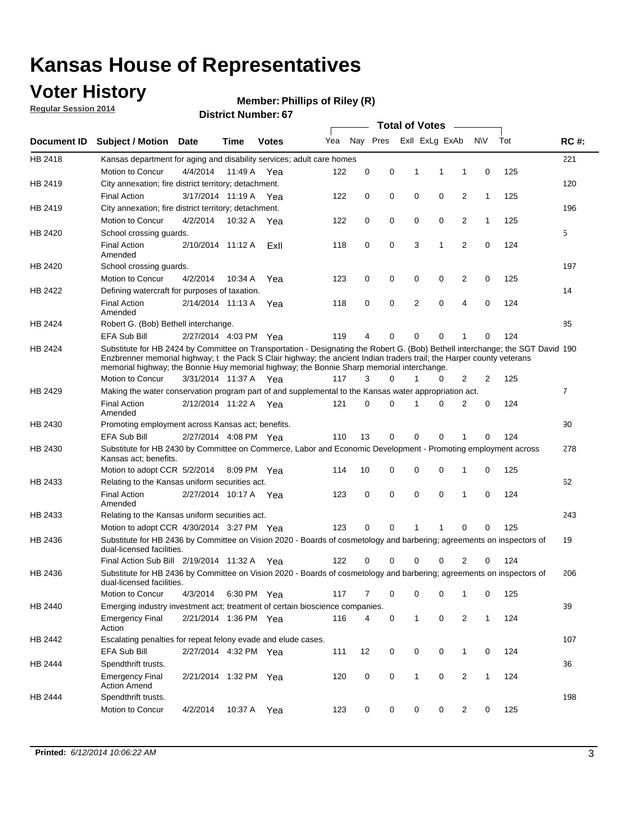## **Voter History**

**Regular Session 2014**

#### **Member: Phillips of Riley (R)**

|             |                                                                                                                                                                                                                                                                                                                                                      |                       |             | <b>DISTING MAILINGL.OF</b> |     |             |          | <b>Total of Votes</b> |                |                |              |     |                |
|-------------|------------------------------------------------------------------------------------------------------------------------------------------------------------------------------------------------------------------------------------------------------------------------------------------------------------------------------------------------------|-----------------------|-------------|----------------------------|-----|-------------|----------|-----------------------|----------------|----------------|--------------|-----|----------------|
| Document ID | <b>Subject / Motion Date</b>                                                                                                                                                                                                                                                                                                                         |                       | Time        | <b>Votes</b>               | Yea |             | Nay Pres |                       | Exll ExLg ExAb |                | <b>NV</b>    | Tot | <b>RC#:</b>    |
| HB 2418     | Kansas department for aging and disability services; adult care homes                                                                                                                                                                                                                                                                                |                       |             |                            |     |             |          |                       |                |                |              |     | 221            |
|             | Motion to Concur                                                                                                                                                                                                                                                                                                                                     | 4/4/2014              | 11:49 A     | Yea                        | 122 | 0           | 0        | 1                     | 1              | 1              | 0            | 125 |                |
| HB 2419     | City annexation; fire district territory; detachment.                                                                                                                                                                                                                                                                                                |                       |             |                            |     |             |          |                       |                |                |              |     | 120            |
|             | <b>Final Action</b>                                                                                                                                                                                                                                                                                                                                  | 3/17/2014 11:19 A     |             | Yea                        | 122 | 0           | 0        | $\mathbf 0$           | 0              | 2              | $\mathbf{1}$ | 125 |                |
| HB 2419     | City annexation; fire district territory; detachment.                                                                                                                                                                                                                                                                                                |                       |             |                            |     |             |          |                       |                |                |              |     | 196            |
|             | Motion to Concur                                                                                                                                                                                                                                                                                                                                     | 4/2/2014              | 10:32 A     | Yea                        | 122 | 0           | 0        | $\mathbf 0$           | 0              | 2              | $\mathbf{1}$ | 125 |                |
| HB 2420     | School crossing guards.                                                                                                                                                                                                                                                                                                                              |                       |             |                            |     |             |          |                       |                |                |              |     | 5              |
|             | <b>Final Action</b><br>Amended                                                                                                                                                                                                                                                                                                                       | 2/10/2014 11:12 A     |             | ExII                       | 118 | 0           | 0        | 3                     | 1              | 2              | 0            | 124 |                |
| HB 2420     | School crossing guards.                                                                                                                                                                                                                                                                                                                              |                       |             |                            |     |             |          |                       |                |                |              |     | 197            |
|             | Motion to Concur                                                                                                                                                                                                                                                                                                                                     | 4/2/2014              | 10:34 A     | Yea                        | 123 | 0           | 0        | 0                     | 0              | 2              | 0            | 125 |                |
| HB 2422     | Defining watercraft for purposes of taxation.                                                                                                                                                                                                                                                                                                        |                       |             |                            |     |             |          |                       |                |                |              |     | 14             |
|             | <b>Final Action</b><br>Amended                                                                                                                                                                                                                                                                                                                       | 2/14/2014 11:13 A     |             | Yea                        | 118 | 0           | 0        | 2                     | $\mathbf 0$    | 4              | 0            | 124 |                |
| HB 2424     | Robert G. (Bob) Bethell interchange.                                                                                                                                                                                                                                                                                                                 |                       |             |                            |     |             |          |                       |                |                |              |     | 85             |
|             | <b>EFA Sub Bill</b>                                                                                                                                                                                                                                                                                                                                  | 2/27/2014 4:03 PM Yea |             |                            | 119 | 4           | 0        | 0                     | $\mathbf 0$    | 1              | $\Omega$     | 124 |                |
| HB 2424     | Substitute for HB 2424 by Committee on Transportation - Designating the Robert G. (Bob) Bethell interchange; the SGT David 190<br>Enzbrenner memorial highway; t the Pack S Clair highway; the ancient Indian traders trail; the Harper county veterans<br>memorial highway; the Bonnie Huy memorial highway; the Bonnie Sharp memorial interchange. |                       |             |                            |     |             |          |                       |                |                |              |     |                |
|             | Motion to Concur                                                                                                                                                                                                                                                                                                                                     | 3/31/2014 11:37 A Yea |             |                            | 117 | 3           | 0        | 1                     | 0              | 2              | 2            | 125 |                |
| HB 2429     | Making the water conservation program part of and supplemental to the Kansas water appropriation act.                                                                                                                                                                                                                                                |                       |             |                            |     |             |          |                       |                |                |              |     | $\overline{7}$ |
|             | <b>Final Action</b><br>Amended                                                                                                                                                                                                                                                                                                                       | 2/12/2014 11:22 A     |             | Yea                        | 121 | $\mathbf 0$ | 0        | 1                     | $\Omega$       | $\overline{2}$ | 0            | 124 |                |
| HB 2430     | Promoting employment across Kansas act; benefits.                                                                                                                                                                                                                                                                                                    |                       |             |                            |     |             |          |                       |                |                |              |     | 90             |
|             | EFA Sub Bill                                                                                                                                                                                                                                                                                                                                         | 2/27/2014 4:08 PM Yea |             |                            | 110 | 13          | 0        | 0                     | 0              | 1              | $\Omega$     | 124 |                |
| HB 2430     | Substitute for HB 2430 by Committee on Commerce, Labor and Economic Development - Promoting employment across<br>Kansas act; benefits.                                                                                                                                                                                                               |                       |             |                            |     |             |          |                       |                |                |              |     | 278            |
|             | Motion to adopt CCR 5/2/2014                                                                                                                                                                                                                                                                                                                         |                       | 8:09 PM Yea |                            | 114 | 10          | 0        | 0                     | $\mathbf 0$    | 1              | 0            | 125 |                |
| HB 2433     | Relating to the Kansas uniform securities act.                                                                                                                                                                                                                                                                                                       |                       |             |                            |     |             |          |                       |                |                |              |     | 62             |
|             | <b>Final Action</b><br>Amended                                                                                                                                                                                                                                                                                                                       | 2/27/2014 10:17 A Yea |             |                            | 123 | 0           | 0        | $\mathbf 0$           | $\mathbf 0$    | 1              | 0            | 124 |                |
| HB 2433     | Relating to the Kansas uniform securities act.                                                                                                                                                                                                                                                                                                       |                       |             |                            |     |             |          |                       |                |                |              |     | 243            |
|             | Motion to adopt CCR 4/30/2014 3:27 PM Yea                                                                                                                                                                                                                                                                                                            |                       |             |                            | 123 | 0           | 0        | 1                     | 1              | 0              | 0            | 125 |                |
| HB 2436     | Substitute for HB 2436 by Committee on Vision 2020 - Boards of cosmetology and barbering; agreements on inspectors of<br>dual-licensed facilities.                                                                                                                                                                                                   |                       |             |                            |     |             |          |                       |                |                |              |     | 19             |
|             | Final Action Sub Bill 2/19/2014 11:32 A                                                                                                                                                                                                                                                                                                              |                       |             | Yea                        | 122 | 0           | 0        | 0                     | $\Omega$       | 2              | 0            | 124 |                |
| HB 2436     | Substitute for HB 2436 by Committee on Vision 2020 - Boards of cosmetology and barbering; agreements on inspectors of<br>dual-licensed facilities.                                                                                                                                                                                                   |                       |             |                            |     |             |          |                       |                |                |              |     | 206            |
|             | Motion to Concur                                                                                                                                                                                                                                                                                                                                     | 4/3/2014              |             | 6:30 PM Yea                | 117 | 7           | 0        | 0                     | 0              | 1              | 0            | 125 |                |
| HB 2440     | Emerging industry investment act; treatment of certain bioscience companies.                                                                                                                                                                                                                                                                         |                       |             |                            |     |             |          |                       |                |                |              |     | 39             |
|             | <b>Emergency Final</b><br>Action                                                                                                                                                                                                                                                                                                                     | 2/21/2014 1:36 PM Yea |             |                            | 116 | 4           | 0        | 1                     | 0              | 2              | $\mathbf{1}$ | 124 |                |
| HB 2442     | Escalating penalties for repeat felony evade and elude cases.                                                                                                                                                                                                                                                                                        |                       |             |                            |     |             |          |                       |                |                |              |     | 107            |
|             | <b>EFA Sub Bill</b>                                                                                                                                                                                                                                                                                                                                  | 2/27/2014 4:32 PM Yea |             |                            | 111 | 12          | 0        | 0                     | 0              | $\mathbf{1}$   | 0            | 124 |                |
| HB 2444     | Spendthrift trusts.                                                                                                                                                                                                                                                                                                                                  |                       |             |                            |     |             |          |                       |                |                |              |     | 36             |
|             | <b>Emergency Final</b><br><b>Action Amend</b>                                                                                                                                                                                                                                                                                                        | 2/21/2014 1:32 PM Yea |             |                            | 120 | 0           | 0        | 1                     | 0              | 2              | $\mathbf{1}$ | 124 |                |
| HB 2444     | Spendthrift trusts.                                                                                                                                                                                                                                                                                                                                  |                       |             |                            |     |             |          |                       |                |                |              |     | 198            |
|             | Motion to Concur                                                                                                                                                                                                                                                                                                                                     | 4/2/2014              | 10:37 A     | Yea                        | 123 | 0           | 0        | 0                     | 0              | 2              | 0            | 125 |                |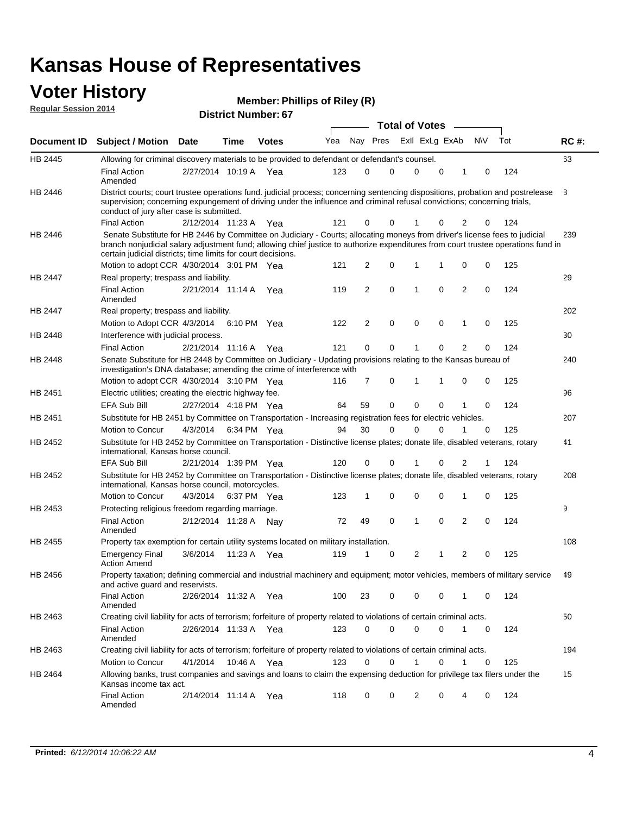#### **Voter History Regular Session 2014**

|                |                                                                                                                                                                                                                                                                                                                                 |                       |      |              |     |          |             | <b>Total of Votes</b> |             |                |     |     |             |
|----------------|---------------------------------------------------------------------------------------------------------------------------------------------------------------------------------------------------------------------------------------------------------------------------------------------------------------------------------|-----------------------|------|--------------|-----|----------|-------------|-----------------------|-------------|----------------|-----|-----|-------------|
|                | Document ID Subject / Motion Date                                                                                                                                                                                                                                                                                               |                       | Time | <b>Votes</b> | Yea | Nay Pres |             | Exll ExLg ExAb        |             |                | N\V | Tot | <b>RC#:</b> |
| HB 2445        | Allowing for criminal discovery materials to be provided to defendant or defendant's counsel.                                                                                                                                                                                                                                   |                       |      |              |     |          |             |                       |             |                |     |     | 63          |
|                | <b>Final Action</b><br>Amended                                                                                                                                                                                                                                                                                                  | 2/27/2014 10:19 A     |      | Yea          | 123 | 0        | 0           | $\mathbf 0$           | $\mathbf 0$ | 1              | 0   | 124 |             |
| HB 2446        | District courts; court trustee operations fund. judicial process; concerning sentencing dispositions, probation and postrelease<br>supervision; concerning expungement of driving under the influence and criminal refusal convictions; concerning trials,<br>conduct of jury after case is submitted.                          |                       |      |              |     |          |             |                       |             |                |     |     | 8           |
|                | <b>Final Action</b>                                                                                                                                                                                                                                                                                                             | 2/12/2014 11:23 A Yea |      |              | 121 | 0        | 0           | 1                     | 0           | 2              | 0   | 124 |             |
| HB 2446        | Senate Substitute for HB 2446 by Committee on Judiciary - Courts; allocating moneys from driver's license fees to judicial<br>branch nonjudicial salary adjustment fund; allowing chief justice to authorize expenditures from court trustee operations fund in<br>certain judicial districts; time limits for court decisions. |                       |      |              |     |          |             |                       |             |                |     |     | 239         |
|                | Motion to adopt CCR 4/30/2014 3:01 PM Yea                                                                                                                                                                                                                                                                                       |                       |      |              | 121 | 2        | 0           | 1                     | 1           | 0              | 0   | 125 |             |
| <b>HB 2447</b> | Real property; trespass and liability.                                                                                                                                                                                                                                                                                          |                       |      |              |     |          |             |                       |             |                |     |     | 29          |
|                | <b>Final Action</b><br>Amended                                                                                                                                                                                                                                                                                                  | 2/21/2014 11:14 A     |      | Yea          | 119 | 2        | $\mathbf 0$ | $\mathbf 1$           | 0           | $\overline{2}$ | 0   | 124 |             |
| HB 2447        | Real property; trespass and liability.                                                                                                                                                                                                                                                                                          |                       |      |              |     |          |             |                       |             |                |     |     | 202         |
|                | Motion to Adopt CCR 4/3/2014                                                                                                                                                                                                                                                                                                    |                       |      | 6:10 PM Yea  | 122 | 2        | $\mathbf 0$ | 0                     | $\mathbf 0$ | 1              | 0   | 125 |             |
| HB 2448        | Interference with judicial process.                                                                                                                                                                                                                                                                                             |                       |      |              |     |          |             |                       |             |                |     |     | 30          |
|                | <b>Final Action</b>                                                                                                                                                                                                                                                                                                             | 2/21/2014 11:16 A Yea |      |              | 121 | 0        | $\mathbf 0$ | 1                     | $\Omega$    | $\overline{2}$ | 0   | 124 |             |
| HB 2448        | Senate Substitute for HB 2448 by Committee on Judiciary - Updating provisions relating to the Kansas bureau of<br>investigation's DNA database; amending the crime of interference with                                                                                                                                         |                       |      |              |     |          |             |                       |             |                |     |     | 240         |
|                | Motion to adopt CCR 4/30/2014 3:10 PM Yea                                                                                                                                                                                                                                                                                       |                       |      |              | 116 | 7        | 0           | $\mathbf 1$           | 1           | 0              | 0   | 125 |             |
| HB 2451        | Electric utilities; creating the electric highway fee.                                                                                                                                                                                                                                                                          |                       |      |              |     |          |             |                       |             |                |     |     | 96          |
|                | <b>EFA Sub Bill</b>                                                                                                                                                                                                                                                                                                             | 2/27/2014 4:18 PM Yea |      |              | 64  | 59       | 0           | $\Omega$              | 0           |                | 0   | 124 |             |
| HB 2451        | Substitute for HB 2451 by Committee on Transportation - Increasing registration fees for electric vehicles.                                                                                                                                                                                                                     |                       |      |              |     |          |             |                       |             |                |     |     | 207         |
|                | Motion to Concur                                                                                                                                                                                                                                                                                                                | 4/3/2014              |      | 6:34 PM Yea  | 94  | 30       | 0           | $\Omega$              | 0           |                | 0   | 125 |             |
| HB 2452        | Substitute for HB 2452 by Committee on Transportation - Distinctive license plates; donate life, disabled veterans, rotary<br>international, Kansas horse council.                                                                                                                                                              |                       |      |              |     |          |             |                       |             |                |     |     | 41          |
|                | <b>EFA Sub Bill</b>                                                                                                                                                                                                                                                                                                             | 2/21/2014 1:39 PM Yea |      |              | 120 | 0        | 0           |                       | 0           | 2              | 1   | 124 |             |
| HB 2452        | Substitute for HB 2452 by Committee on Transportation - Distinctive license plates; donate life, disabled veterans, rotary<br>international, Kansas horse council, motorcycles.                                                                                                                                                 |                       |      |              |     |          |             |                       |             |                |     |     | 208         |
|                | Motion to Concur                                                                                                                                                                                                                                                                                                                | 4/3/2014              |      | 6:37 PM Yea  | 123 | 1        | 0           | $\mathbf 0$           | 0           | 1              | 0   | 125 |             |
| HB 2453        | Protecting religious freedom regarding marriage.                                                                                                                                                                                                                                                                                |                       |      |              |     |          |             |                       |             |                |     |     | 9           |
|                | <b>Final Action</b><br>Amended                                                                                                                                                                                                                                                                                                  | 2/12/2014 11:28 A Nay |      |              | 72  | 49       | 0           | 1                     | 0           | 2              | 0   | 124 |             |
| HB 2455        | Property tax exemption for certain utility systems located on military installation.                                                                                                                                                                                                                                            |                       |      |              |     |          |             |                       |             |                |     |     | 108         |
|                | <b>Emergency Final</b><br><b>Action Amend</b>                                                                                                                                                                                                                                                                                   | 3/6/2014              |      | 11:23 A Yea  | 119 | 1        | 0           | $\overline{2}$        | 1           | 2              | 0   | 125 |             |
| HB 2456        | Property taxation; defining commercial and industrial machinery and equipment; motor vehicles, members of military service<br>and active guard and reservists.                                                                                                                                                                  |                       |      |              |     |          |             |                       |             |                |     |     | 49          |
|                | <b>Final Action</b><br>Amended                                                                                                                                                                                                                                                                                                  | 2/26/2014 11:32 A Yea |      |              | 100 | 23       | 0           | 0                     | 0           | 1              | 0   | 124 |             |
| HB 2463        | Creating civil liability for acts of terrorism; forfeiture of property related to violations of certain criminal acts.                                                                                                                                                                                                          |                       |      |              |     |          |             |                       |             |                |     |     | 50          |
|                | <b>Final Action</b><br>Amended                                                                                                                                                                                                                                                                                                  | 2/26/2014 11:33 A Yea |      |              | 123 | 0        | 0           | 0                     | 0           | $\mathbf{1}$   | 0   | 124 |             |
| HB 2463        | Creating civil liability for acts of terrorism; forfeiture of property related to violations of certain criminal acts.                                                                                                                                                                                                          |                       |      |              |     |          |             |                       |             |                |     |     | 194         |
|                | Motion to Concur                                                                                                                                                                                                                                                                                                                | 4/1/2014              |      | 10:46 A Yea  | 123 | 0        | 0           | $\mathbf{1}$          | $\Omega$    | $\mathbf{1}$   | 0   | 125 |             |
| HB 2464        | Allowing banks, trust companies and savings and loans to claim the expensing deduction for privilege tax filers under the<br>Kansas income tax act.                                                                                                                                                                             |                       |      |              |     |          |             |                       |             |                |     |     | 15          |
|                | <b>Final Action</b><br>Amended                                                                                                                                                                                                                                                                                                  | 2/14/2014 11:14 A Yea |      |              | 118 | 0        | 0           | 2                     | 0           | 4              | 0   | 124 |             |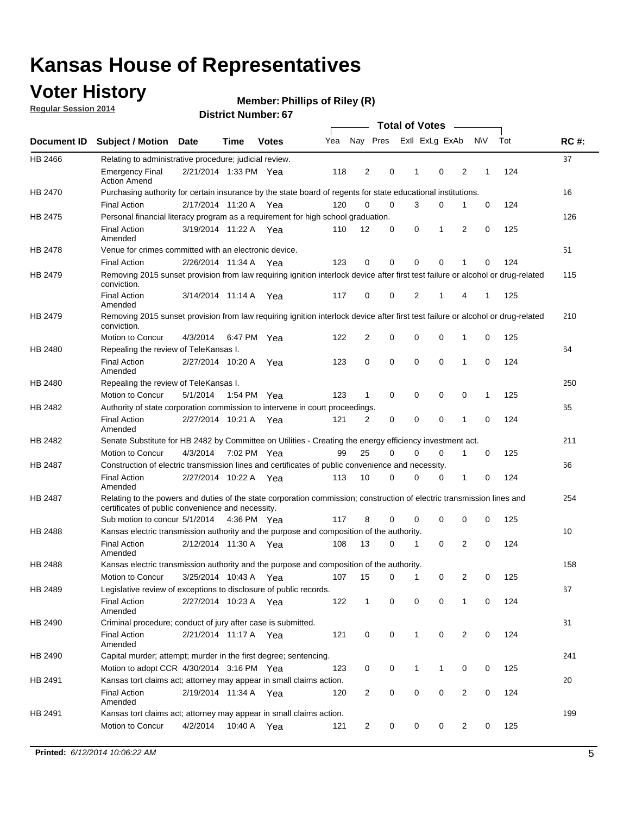## **Voter History**

**Regular Session 2014**

#### **Member: Phillips of Riley (R)**

|         |                                                                                                                                                                             |                       |             |              |     |                |             | <b>Total of Votes</b> |                         |                |             |     |             |
|---------|-----------------------------------------------------------------------------------------------------------------------------------------------------------------------------|-----------------------|-------------|--------------|-----|----------------|-------------|-----------------------|-------------------------|----------------|-------------|-----|-------------|
|         | Document ID Subject / Motion Date                                                                                                                                           |                       | Time        | <b>Votes</b> | Yea |                |             |                       | Nay Pres ExII ExLg ExAb |                | <b>NV</b>   | Tot | <b>RC#:</b> |
| HB 2466 | Relating to administrative procedure; judicial review.                                                                                                                      |                       |             |              |     |                |             |                       |                         |                |             |     | 37          |
|         | <b>Emergency Final</b><br><b>Action Amend</b>                                                                                                                               | 2/21/2014 1:33 PM Yea |             |              | 118 | $\overline{2}$ | 0           | 1                     | $\mathbf 0$             | $\overline{2}$ | 1           | 124 |             |
| HB 2470 | Purchasing authority for certain insurance by the state board of regents for state educational institutions.                                                                |                       |             |              |     |                |             |                       |                         |                |             |     | 16          |
|         | <b>Final Action</b>                                                                                                                                                         | 2/17/2014 11:20 A Yea |             |              | 120 | 0              | 0           | 3                     | 0                       | 1              | 0           | 124 |             |
| HB 2475 | Personal financial literacy program as a requirement for high school graduation.                                                                                            |                       |             |              |     |                |             |                       |                         |                |             |     | 126         |
|         | <b>Final Action</b><br>Amended                                                                                                                                              | 3/19/2014 11:22 A Yea |             |              | 110 | 12             | 0           | 0                     | 1                       | 2              | 0           | 125 |             |
| HB 2478 | Venue for crimes committed with an electronic device.                                                                                                                       |                       |             |              |     |                |             |                       |                         |                |             |     | 51          |
|         | <b>Final Action</b>                                                                                                                                                         | 2/26/2014 11:34 A     |             | Yea          | 123 | 0              | 0           | $\Omega$              | $\mathbf 0$             | 1              | $\mathbf 0$ | 124 |             |
| HB 2479 | Removing 2015 sunset provision from law requiring ignition interlock device after first test failure or alcohol or drug-related<br>conviction.                              |                       |             |              |     |                |             |                       |                         |                |             |     | 115         |
|         | <b>Final Action</b><br>Amended                                                                                                                                              | 3/14/2014 11:14 A     |             | Yea          | 117 | 0              | 0           | 2                     | 1                       | 4              | 1           | 125 |             |
| HB 2479 | Removing 2015 sunset provision from law requiring ignition interlock device after first test failure or alcohol or drug-related<br>conviction.                              |                       |             |              |     |                |             |                       |                         |                |             |     | 210         |
|         | Motion to Concur                                                                                                                                                            | 4/3/2014              | 6:47 PM Yea |              | 122 | $\overline{2}$ | 0           | $\mathbf 0$           | $\mathbf 0$             | 1              | 0           | 125 |             |
| HB 2480 | Repealing the review of TeleKansas I.                                                                                                                                       |                       |             |              |     |                |             |                       |                         |                |             |     | 64          |
|         | <b>Final Action</b><br>Amended                                                                                                                                              | 2/27/2014 10:20 A Yea |             |              | 123 | 0              | 0           | $\mathbf 0$           | $\mathbf 0$             | 1              | 0           | 124 |             |
| HB 2480 | Repealing the review of TeleKansas I.                                                                                                                                       |                       |             |              |     |                |             |                       |                         |                |             |     | 250         |
|         | Motion to Concur                                                                                                                                                            | 5/1/2014              | 1:54 PM Yea |              | 123 | $\mathbf{1}$   | $\mathbf 0$ | $\mathbf 0$           | $\mathbf 0$             | $\mathbf 0$    | 1           | 125 |             |
| HB 2482 | Authority of state corporation commission to intervene in court proceedings.                                                                                                |                       |             |              |     |                |             |                       |                         |                |             |     | 65          |
|         | <b>Final Action</b><br>Amended                                                                                                                                              | 2/27/2014 10:21 A     |             | Yea          | 121 | 2              | 0           | $\mathbf 0$           | $\mathbf 0$             | 1              | 0           | 124 |             |
| HB 2482 | Senate Substitute for HB 2482 by Committee on Utilities - Creating the energy efficiency investment act.                                                                    |                       |             |              |     |                |             |                       |                         |                |             |     | 211         |
|         | Motion to Concur                                                                                                                                                            | 4/3/2014 7:02 PM Yea  |             |              | 99  | 25             | 0           | $\Omega$              | 0                       | 1              | 0           | 125 |             |
| HB 2487 | Construction of electric transmission lines and certificates of public convenience and necessity.                                                                           |                       |             |              |     |                |             |                       |                         |                |             |     | 66          |
|         | <b>Final Action</b><br>Amended                                                                                                                                              | 2/27/2014 10:22 A Yea |             |              | 113 | 10             | 0           | 0                     | 0                       | 1              | 0           | 124 |             |
| HB 2487 | Relating to the powers and duties of the state corporation commission; construction of electric transmission lines and<br>certificates of public convenience and necessity. |                       |             |              |     |                |             |                       |                         |                |             |     | 254         |
|         | Sub motion to concur 5/1/2014 4:36 PM Yea                                                                                                                                   |                       |             |              | 117 | 8              | 0           | 0                     | 0                       | 0              | 0           | 125 |             |
| HB 2488 | Kansas electric transmission authority and the purpose and composition of the authority.                                                                                    |                       |             |              |     |                |             |                       |                         |                |             |     | 10          |
|         | <b>Final Action</b><br>Amended                                                                                                                                              | 2/12/2014 11:30 A Yea |             |              | 108 | 13             | 0           | 1                     | 0                       | 2              | 0           | 124 |             |
| HB 2488 | Kansas electric transmission authority and the purpose and composition of the authority.                                                                                    |                       |             |              |     |                |             |                       |                         |                |             |     | 158         |
|         | Motion to Concur                                                                                                                                                            | 3/25/2014 10:43 A     |             | Yea          | 107 | 15             | 0           | 1                     | 0                       | 2              | 0           | 125 |             |
| HB 2489 | Legislative review of exceptions to disclosure of public records.                                                                                                           |                       |             |              |     |                |             |                       |                         |                |             |     | 67          |
|         | <b>Final Action</b><br>Amended                                                                                                                                              | 2/27/2014 10:23 A Yea |             |              | 122 | $\mathbf{1}$   | 0           | 0                     | 0                       | 1              | 0           | 124 |             |
| HB 2490 | Criminal procedure; conduct of jury after case is submitted.                                                                                                                |                       |             |              |     |                |             |                       |                         |                |             |     | 31          |
|         | <b>Final Action</b><br>Amended                                                                                                                                              | 2/21/2014 11:17 A Yea |             |              | 121 | 0              | 0           | 1                     | $\mathbf 0$             | 2              | $\mathbf 0$ | 124 |             |
| HB 2490 | Capital murder; attempt; murder in the first degree; sentencing.                                                                                                            |                       |             |              |     |                |             |                       |                         |                |             |     | 241         |
|         | Motion to adopt CCR 4/30/2014 3:16 PM Yea                                                                                                                                   |                       |             |              | 123 | 0              | 0           | 1                     | 1                       | 0              | 0           | 125 |             |
| HB 2491 | Kansas tort claims act; attorney may appear in small claims action.                                                                                                         |                       |             |              |     |                |             |                       |                         |                |             |     | 20          |
|         | <b>Final Action</b><br>Amended                                                                                                                                              | 2/19/2014 11:34 A Yea |             |              | 120 | $\overline{c}$ | 0           | 0                     | 0                       | $\overline{2}$ | 0           | 124 |             |
| HB 2491 | Kansas tort claims act; attorney may appear in small claims action.                                                                                                         |                       |             |              |     |                |             |                       |                         |                |             |     | 199         |
|         | Motion to Concur                                                                                                                                                            | 4/2/2014              |             | 10:40 A Yea  | 121 | $\overline{2}$ | 0           | 0                     | 0                       | $\overline{2}$ | 0           | 125 |             |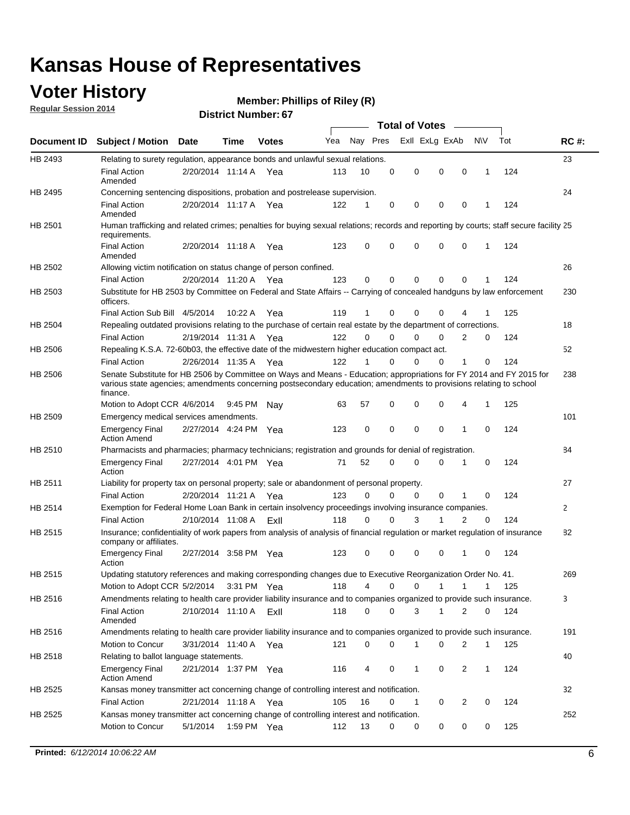## **Voter History**

**Regular Session 2014**

#### **Member: Phillips of Riley (R)**

|                    |                                                                                                                                                                                                                                                        |                       |             | <b>DISTRICT MAILINGL. 07</b> |     |          |             |                                         |                |             |     |             |
|--------------------|--------------------------------------------------------------------------------------------------------------------------------------------------------------------------------------------------------------------------------------------------------|-----------------------|-------------|------------------------------|-----|----------|-------------|-----------------------------------------|----------------|-------------|-----|-------------|
| <b>Document ID</b> | <b>Subject / Motion Date</b>                                                                                                                                                                                                                           |                       | <b>Time</b> | <b>Votes</b>                 | Yea | Nay Pres |             | <b>Total of Votes</b><br>Exll ExLg ExAb | $\sim$         | <b>NV</b>   | Tot | <b>RC#:</b> |
| HB 2493            | Relating to surety regulation, appearance bonds and unlawful sexual relations.                                                                                                                                                                         |                       |             |                              |     |          |             |                                         |                |             |     | 23          |
|                    | <b>Final Action</b><br>Amended                                                                                                                                                                                                                         | 2/20/2014 11:14 A Yea |             |                              | 113 | 10       | $\mathbf 0$ | $\mathbf 0$<br>$\mathbf 0$              | $\mathbf 0$    | 1           | 124 |             |
| HB 2495            | Concerning sentencing dispositions, probation and postrelease supervision.                                                                                                                                                                             |                       |             |                              |     |          |             |                                         |                |             |     | 24          |
|                    | <b>Final Action</b><br>Amended                                                                                                                                                                                                                         | 2/20/2014 11:17 A     |             | Yea                          | 122 | 1        | 0           | 0<br>0                                  | 0              | 1           | 124 |             |
| HB 2501            | Human trafficking and related crimes; penalties for buying sexual relations; records and reporting by courts; staff secure facility 25<br>requirements.                                                                                                |                       |             |                              |     |          |             |                                         |                |             |     |             |
|                    | <b>Final Action</b><br>Amended                                                                                                                                                                                                                         | 2/20/2014 11:18 A Yea |             |                              | 123 | 0        | 0           | $\Omega$<br>$\Omega$                    | 0              | 1           | 124 |             |
| HB 2502            | Allowing victim notification on status change of person confined.                                                                                                                                                                                      |                       |             |                              |     |          |             |                                         |                |             |     | 26          |
|                    | <b>Final Action</b>                                                                                                                                                                                                                                    | 2/20/2014 11:20 A Yea |             |                              | 123 | 0        | 0           | $\mathbf 0$<br>$\mathbf 0$              | 0              |             | 124 |             |
| HB 2503            | Substitute for HB 2503 by Committee on Federal and State Affairs -- Carrying of concealed handguns by law enforcement<br>officers.                                                                                                                     |                       |             |                              |     |          |             |                                         |                |             |     | 230         |
|                    | Final Action Sub Bill 4/5/2014                                                                                                                                                                                                                         |                       | 10:22 A     | Yea                          | 119 | 1        | 0           | $\Omega$<br>0                           |                |             | 125 |             |
| HB 2504            | Repealing outdated provisions relating to the purchase of certain real estate by the department of corrections.                                                                                                                                        |                       |             |                              |     |          |             |                                         |                |             |     | 18          |
|                    | <b>Final Action</b>                                                                                                                                                                                                                                    | 2/19/2014 11:31 A Yea |             |                              | 122 | $\Omega$ | 0           | $\Omega$<br>0                           | 2              | 0           | 124 |             |
| HB 2506            | Repealing K.S.A. 72-60b03, the effective date of the midwestern higher education compact act.                                                                                                                                                          |                       |             |                              |     |          |             |                                         |                |             |     | 52          |
|                    | <b>Final Action</b>                                                                                                                                                                                                                                    | 2/26/2014 11:35 A Yea |             |                              | 122 | 1        | $\mathbf 0$ | 0<br>0                                  | 1              | 0           | 124 |             |
| HB 2506            | Senate Substitute for HB 2506 by Committee on Ways and Means - Education; appropriations for FY 2014 and FY 2015 for<br>various state agencies; amendments concerning postsecondary education; amendments to provisions relating to school<br>finance. |                       |             |                              |     |          |             |                                         |                |             |     | 238         |
|                    | Motion to Adopt CCR 4/6/2014                                                                                                                                                                                                                           |                       | 9:45 PM Nav |                              | 63  | 57       | $\mathbf 0$ | $\mathbf 0$<br>$\Omega$                 | 4              | $\mathbf 1$ | 125 |             |
| HB 2509            | Emergency medical services amendments.                                                                                                                                                                                                                 |                       |             |                              |     |          |             |                                         |                |             |     | 101         |
|                    | <b>Emergency Final</b><br><b>Action Amend</b>                                                                                                                                                                                                          | 2/27/2014 4:24 PM Yea |             |                              | 123 | 0        | $\Omega$    | $\Omega$<br>$\Omega$                    | 1              | $\Omega$    | 124 |             |
| HB 2510            | Pharmacists and pharmacies; pharmacy technicians; registration and grounds for denial of registration.                                                                                                                                                 |                       |             |                              |     |          |             |                                         |                |             |     | 84          |
|                    | <b>Emergency Final</b><br>Action                                                                                                                                                                                                                       | 2/27/2014 4:01 PM Yea |             |                              | 71  | 52       | 0           | $\Omega$<br>$\Omega$                    | 1              | 0           | 124 |             |
| HB 2511            | Liability for property tax on personal property; sale or abandonment of personal property.                                                                                                                                                             |                       |             |                              |     |          |             |                                         |                |             |     | 27          |
|                    | <b>Final Action</b>                                                                                                                                                                                                                                    | 2/20/2014 11:21 A     |             | Yea                          | 123 | $\Omega$ | 0           | 0<br>0                                  | 1              | 0           | 124 |             |
| HB 2514            | Exemption for Federal Home Loan Bank in certain insolvency proceedings involving insurance companies.                                                                                                                                                  |                       |             |                              |     |          |             |                                         |                |             |     | 2           |
|                    | <b>Final Action</b>                                                                                                                                                                                                                                    | 2/10/2014 11:08 A     |             | ExII                         | 118 | $\Omega$ | 0           | 3<br>1                                  | $\overline{2}$ | $\mathbf 0$ | 124 |             |
| HB 2515            | Insurance; confidentiality of work papers from analysis of analysis of financial regulation or market regulation of insurance<br>company or affiliates.                                                                                                |                       |             |                              |     |          |             |                                         |                |             |     | 82          |
|                    | <b>Emergency Final</b><br>Action                                                                                                                                                                                                                       | 2/27/2014 3:58 PM Yea |             |                              | 123 | 0        | $\Omega$    | $\Omega$<br>0                           | 1              | 0           | 124 |             |
| HB 2515            | Updating statutory references and making corresponding changes due to Executive Reorganization Order No. 41,                                                                                                                                           |                       |             |                              |     |          |             |                                         |                |             |     | 269         |
|                    | Motion to Adopt CCR 5/2/2014 3:31 PM Yea                                                                                                                                                                                                               |                       |             |                              | 118 | 4        | 0           | 0<br>1                                  | 1              | 1           | 125 |             |
| HB 2516            | Amendments relating to health care provider liability insurance and to companies organized to provide such insurance.                                                                                                                                  |                       |             |                              |     |          |             |                                         |                |             |     | 3           |
|                    | <b>Final Action</b><br>Amended                                                                                                                                                                                                                         | 2/10/2014 11:10 A     |             | ExII                         | 118 | 0        | 0           | 3<br>1                                  | 2              | 0           | 124 |             |
| HB 2516            | Amendments relating to health care provider liability insurance and to companies organized to provide such insurance.                                                                                                                                  |                       |             |                              |     |          |             |                                         |                |             |     | 191         |
|                    | <b>Motion to Concur</b>                                                                                                                                                                                                                                | 3/31/2014 11:40 A Yea |             |                              | 121 | 0        | 0           | 1<br>0                                  | 2              | 1           | 125 |             |
| HB 2518            | Relating to ballot language statements.                                                                                                                                                                                                                |                       |             |                              |     |          |             |                                         |                |             |     | 40          |
|                    | <b>Emergency Final</b><br><b>Action Amend</b>                                                                                                                                                                                                          | 2/21/2014 1:37 PM Yea |             |                              | 116 | 4        | 0           | 0<br>1                                  | 2              | 1           | 124 |             |
| HB 2525            | Kansas money transmitter act concerning change of controlling interest and notification.                                                                                                                                                               |                       |             |                              |     |          |             |                                         |                |             |     | 32          |
|                    | <b>Final Action</b>                                                                                                                                                                                                                                    | 2/21/2014 11:18 A Yea |             |                              | 105 | 16       | 0           | 1<br>0                                  | $\overline{2}$ | 0           | 124 |             |
| HB 2525            | Kansas money transmitter act concerning change of controlling interest and notification.                                                                                                                                                               |                       |             |                              |     |          |             |                                         |                |             |     | 252         |
|                    | Motion to Concur                                                                                                                                                                                                                                       | 5/1/2014              | 1:59 PM Yea |                              | 112 | 13       | 0           | 0<br>0                                  | 0              | 0           | 125 |             |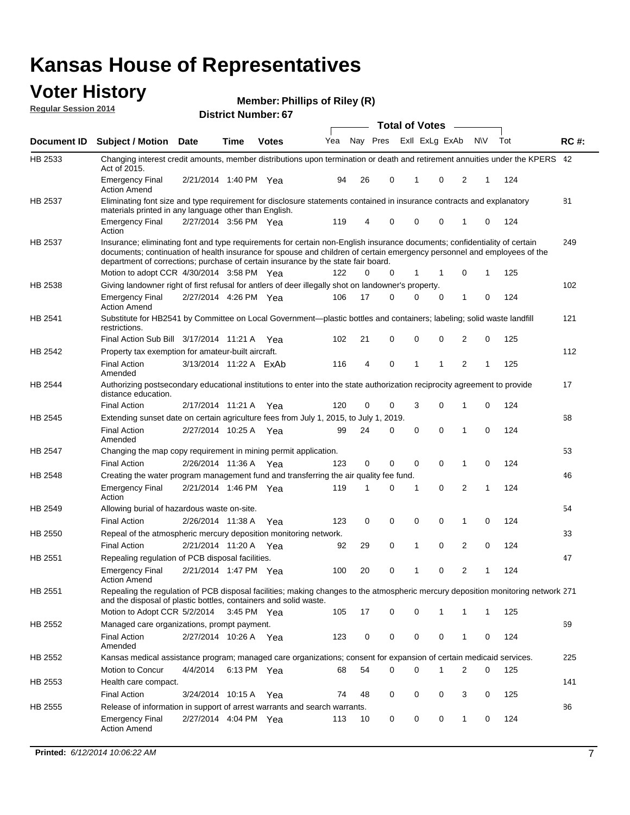#### **Voter History Regular Session 2014**

**Member: Phillips of Riley (R)** 

|                |                                                                                                                                                                                                                                                                                                                                           |                        |             | <b>DISTRICT MAILINGL. 07</b> |     |    |          | <b>Total of Votes</b> |                |              |   |     |             |
|----------------|-------------------------------------------------------------------------------------------------------------------------------------------------------------------------------------------------------------------------------------------------------------------------------------------------------------------------------------------|------------------------|-------------|------------------------------|-----|----|----------|-----------------------|----------------|--------------|---|-----|-------------|
| Document ID    | <b>Subject / Motion</b>                                                                                                                                                                                                                                                                                                                   | <b>Date</b>            | Time        | <b>Votes</b>                 | Yea |    | Nay Pres |                       | Exll ExLg ExAb | N\V          |   | Tot | <b>RC#:</b> |
| HB 2533        | Changing interest credit amounts, member distributions upon termination or death and retirement annuities under the KPERS 42<br>Act of 2015.                                                                                                                                                                                              |                        |             |                              |     |    |          |                       |                |              |   |     |             |
|                | <b>Emergency Final</b><br><b>Action Amend</b>                                                                                                                                                                                                                                                                                             | 2/21/2014 1:40 PM Yea  |             |                              | 94  | 26 | 0        | 1                     | 0              | 2            | 1 | 124 |             |
| HB 2537        | Eliminating font size and type requirement for disclosure statements contained in insurance contracts and explanatory<br>materials printed in any language other than English.                                                                                                                                                            |                        |             |                              |     |    |          |                       |                |              |   |     | 81          |
|                | <b>Emergency Final</b><br>Action                                                                                                                                                                                                                                                                                                          | 2/27/2014 3:56 PM Yea  |             |                              | 119 | 4  | 0        | 0                     | 0              | 1            | 0 | 124 |             |
| HB 2537        | Insurance; eliminating font and type requirements for certain non-English insurance documents; confidentiality of certain<br>documents; continuation of health insurance for spouse and children of certain emergency personnel and employees of the<br>department of corrections; purchase of certain insurance by the state fair board. |                        |             |                              |     |    |          |                       |                |              |   |     | 249         |
|                | Motion to adopt CCR 4/30/2014 3:58 PM Yea                                                                                                                                                                                                                                                                                                 |                        |             |                              | 122 | 0  | 0        | $\mathbf{1}$          | 1              | 0            | 1 | 125 |             |
| HB 2538        | Giving landowner right of first refusal for antlers of deer illegally shot on landowner's property.                                                                                                                                                                                                                                       |                        |             |                              |     |    |          |                       |                |              |   |     | 102         |
|                | <b>Emergency Final</b><br><b>Action Amend</b>                                                                                                                                                                                                                                                                                             | 2/27/2014 4:26 PM Yea  |             |                              | 106 | 17 | 0        | 0                     | $\mathbf 0$    | $\mathbf{1}$ | 0 | 124 |             |
| HB 2541        | Substitute for HB2541 by Committee on Local Government—plastic bottles and containers; labeling; solid waste landfill<br>restrictions.                                                                                                                                                                                                    |                        |             |                              |     |    |          |                       |                |              |   |     | 121         |
|                | Final Action Sub Bill 3/17/2014 11:21 A Yea                                                                                                                                                                                                                                                                                               |                        |             |                              | 102 | 21 | 0        | 0                     | 0              | 2            | 0 | 125 |             |
| HB 2542        | Property tax exemption for amateur-built aircraft.                                                                                                                                                                                                                                                                                        |                        |             |                              |     |    |          |                       |                |              |   |     | 112         |
|                | <b>Final Action</b><br>Amended                                                                                                                                                                                                                                                                                                            | 3/13/2014 11:22 A ExAb |             |                              | 116 | 4  | 0        | 1                     | 1              | 2            | 1 | 125 |             |
| <b>HB 2544</b> | Authorizing postsecondary educational institutions to enter into the state authorization reciprocity agreement to provide<br>distance education.                                                                                                                                                                                          |                        |             |                              |     |    |          |                       |                |              |   |     | 17          |
|                | <b>Final Action</b>                                                                                                                                                                                                                                                                                                                       | 2/17/2014 11:21 A Yea  |             |                              | 120 | 0  | 0        | 3                     | 0              | 1            | 0 | 124 |             |
| HB 2545        | Extending sunset date on certain agriculture fees from July 1, 2015, to July 1, 2019.                                                                                                                                                                                                                                                     |                        |             |                              |     |    |          |                       |                |              |   |     | 68          |
|                | <b>Final Action</b><br>Amended                                                                                                                                                                                                                                                                                                            | 2/27/2014 10:25 A Yea  |             |                              | 99  | 24 | 0        | $\mathbf 0$           | 0              | 1            | 0 | 124 |             |
| <b>HB 2547</b> | Changing the map copy requirement in mining permit application.                                                                                                                                                                                                                                                                           |                        |             |                              |     |    |          |                       |                |              |   |     | 53          |
|                | <b>Final Action</b>                                                                                                                                                                                                                                                                                                                       | 2/26/2014 11:36 A Yea  |             |                              | 123 | 0  | 0        | $\mathbf 0$           | 0              | 1            | 0 | 124 |             |
| HB 2548        | Creating the water program management fund and transferring the air quality fee fund.                                                                                                                                                                                                                                                     |                        |             |                              |     |    |          |                       |                |              |   |     | 46          |
|                | <b>Emergency Final</b><br>Action                                                                                                                                                                                                                                                                                                          | 2/21/2014 1:46 PM Yea  |             |                              | 119 | 1  | 0        | -1                    | 0              | 2            | 1 | 124 |             |
| HB 2549        | Allowing burial of hazardous waste on-site.                                                                                                                                                                                                                                                                                               |                        |             |                              |     |    |          |                       |                |              |   |     | 54          |
|                | <b>Final Action</b>                                                                                                                                                                                                                                                                                                                       | 2/26/2014 11:38 A Yea  |             |                              | 123 | 0  | 0        | 0                     | 0              | 1            | 0 | 124 |             |
| HB 2550        | Repeal of the atmospheric mercury deposition monitoring network.                                                                                                                                                                                                                                                                          |                        |             |                              |     |    |          |                       |                |              |   |     | 33          |
|                | <b>Final Action</b>                                                                                                                                                                                                                                                                                                                       | 2/21/2014 11:20 A Yea  |             |                              | 92  | 29 | 0        | $\mathbf{1}$          | $\mathbf 0$    | 2            | 0 | 124 |             |
| HB 2551        | Repealing regulation of PCB disposal facilities.                                                                                                                                                                                                                                                                                          |                        |             |                              |     |    |          |                       |                |              |   |     | 47          |
|                | <b>Emergency Final</b><br><b>Action Amend</b>                                                                                                                                                                                                                                                                                             | 2/21/2014 1:47 PM Yea  |             |                              | 100 | 20 | 0        | $\mathbf{1}$          | 0              | 2            | 1 | 124 |             |
| HB 2551        | Repealing the regulation of PCB disposal facilities; making changes to the atmospheric mercury deposition monitoring network 271<br>and the disposal of plastic bottles, containers and solid waste.                                                                                                                                      |                        |             |                              |     |    |          |                       |                |              |   |     |             |
|                | Motion to Adopt CCR 5/2/2014                                                                                                                                                                                                                                                                                                              |                        | 3:45 PM Yea |                              | 105 | 17 | 0        | 0                     | 1              | 1            | 1 | 125 |             |
| HB 2552        | Managed care organizations, prompt payment.                                                                                                                                                                                                                                                                                               |                        |             |                              |     |    |          |                       |                |              |   |     | 69          |
|                | Final Action<br>Amended                                                                                                                                                                                                                                                                                                                   | 2/27/2014 10:26 A Yea  |             |                              | 123 | 0  | 0        | 0                     | 0              | 1            | 0 | 124 |             |
| HB 2552        | Kansas medical assistance program; managed care organizations; consent for expansion of certain medicaid services.                                                                                                                                                                                                                        |                        |             |                              |     |    |          |                       |                |              |   |     | 225         |
|                | Motion to Concur                                                                                                                                                                                                                                                                                                                          | 4/4/2014               | 6:13 PM Yea |                              | 68  | 54 | 0        | $\Omega$              | 1              | 2            | 0 | 125 |             |
| HB 2553        | Health care compact.                                                                                                                                                                                                                                                                                                                      |                        |             |                              |     |    |          |                       |                |              |   |     | 141         |
|                | <b>Final Action</b>                                                                                                                                                                                                                                                                                                                       | 3/24/2014 10:15 A Yea  |             |                              | 74  | 48 | 0        | $\mathbf 0$           | 0              | 3            | 0 | 125 |             |
| HB 2555        | Release of information in support of arrest warrants and search warrants.                                                                                                                                                                                                                                                                 |                        |             |                              |     |    |          |                       |                |              |   |     | 86          |
|                | <b>Emergency Final</b><br><b>Action Amend</b>                                                                                                                                                                                                                                                                                             | 2/27/2014 4:04 PM Yea  |             |                              | 113 | 10 | 0        | 0                     | 0              | 1            | 0 | 124 |             |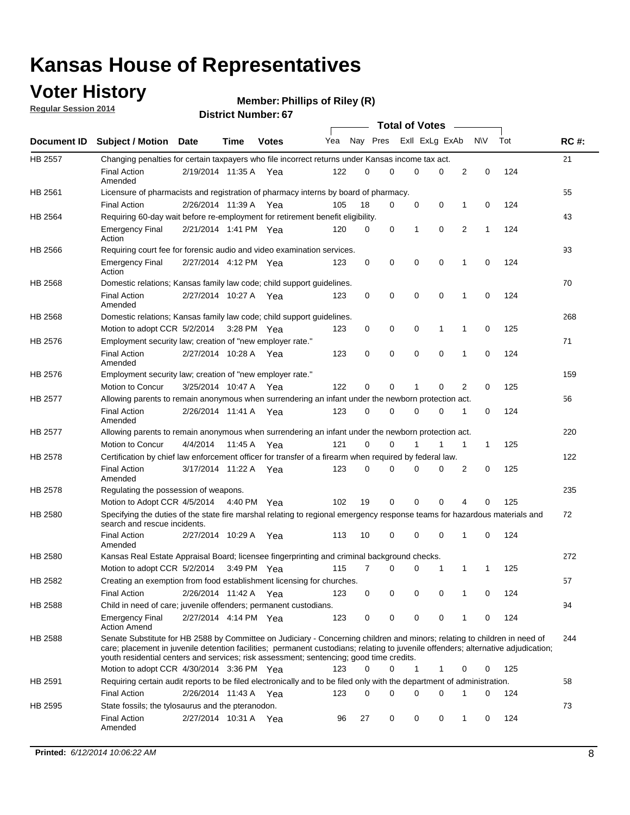## **Voter History**

**Regular Session 2014**

| <b>District Number: 67</b> |
|----------------------------|
|                            |

|                |                                                                                                                                                                                                                                                                                                                                                           |                       |             | <b>DISTING MAILINGL.OF</b> |     |          |             | <b>Total of Votes</b> |             |                |           |     |             |
|----------------|-----------------------------------------------------------------------------------------------------------------------------------------------------------------------------------------------------------------------------------------------------------------------------------------------------------------------------------------------------------|-----------------------|-------------|----------------------------|-----|----------|-------------|-----------------------|-------------|----------------|-----------|-----|-------------|
| Document ID    | <b>Subject / Motion Date</b>                                                                                                                                                                                                                                                                                                                              |                       | <b>Time</b> | <b>Votes</b>               | Yea | Nay Pres |             | Exll ExLg ExAb        |             |                | <b>NV</b> | Tot | <b>RC#:</b> |
| <b>HB 2557</b> | Changing penalties for certain taxpayers who file incorrect returns under Kansas income tax act.                                                                                                                                                                                                                                                          |                       |             |                            |     |          |             |                       |             |                |           |     | 21          |
|                | <b>Final Action</b><br>Amended                                                                                                                                                                                                                                                                                                                            | 2/19/2014 11:35 A Yea |             |                            | 122 | $\Omega$ | $\Omega$    | $\Omega$              | 0           | $\overline{2}$ | 0         | 124 |             |
| HB 2561        | Licensure of pharmacists and registration of pharmacy interns by board of pharmacy.                                                                                                                                                                                                                                                                       |                       |             |                            |     |          |             |                       |             |                |           |     | 55          |
|                | <b>Final Action</b>                                                                                                                                                                                                                                                                                                                                       | 2/26/2014 11:39 A     |             | Yea                        | 105 | 18       | 0           | 0                     | 0           | 1              | 0         | 124 |             |
| HB 2564        | Requiring 60-day wait before re-employment for retirement benefit eligibility.                                                                                                                                                                                                                                                                            |                       |             |                            |     |          |             |                       |             |                |           |     | 43          |
|                | <b>Emergency Final</b><br>Action                                                                                                                                                                                                                                                                                                                          | 2/21/2014 1:41 PM Yea |             |                            | 120 | 0        | 0           | 1                     | $\mathbf 0$ | $\overline{2}$ | 1         | 124 |             |
| HB 2566        | Requiring court fee for forensic audio and video examination services.                                                                                                                                                                                                                                                                                    |                       |             |                            |     |          |             |                       |             |                |           |     | 93          |
|                | <b>Emergency Final</b><br>Action                                                                                                                                                                                                                                                                                                                          | 2/27/2014 4:12 PM Yea |             |                            | 123 | 0        | 0           | 0                     | $\mathbf 0$ | 1              | 0         | 124 |             |
| HB 2568        | Domestic relations; Kansas family law code; child support guidelines.                                                                                                                                                                                                                                                                                     |                       |             |                            |     |          |             |                       |             |                |           |     | 70          |
|                | <b>Final Action</b><br>Amended                                                                                                                                                                                                                                                                                                                            | 2/27/2014 10:27 A Yea |             |                            | 123 | 0        | 0           | $\mathbf 0$           | $\mathbf 0$ | 1              | 0         | 124 |             |
| HB 2568        | Domestic relations; Kansas family law code; child support guidelines.                                                                                                                                                                                                                                                                                     |                       |             |                            |     |          |             |                       |             |                |           |     | 268         |
|                | Motion to adopt CCR 5/2/2014                                                                                                                                                                                                                                                                                                                              |                       |             | $3:28$ PM Yea              | 123 | 0        | 0           | 0                     | 1           | 1              | 0         | 125 |             |
| HB 2576        | Employment security law; creation of "new employer rate."                                                                                                                                                                                                                                                                                                 |                       |             |                            |     |          |             |                       |             |                |           |     | 71          |
|                | <b>Final Action</b><br>Amended                                                                                                                                                                                                                                                                                                                            | 2/27/2014 10:28 A Yea |             |                            | 123 | 0        | $\mathbf 0$ | $\mathbf 0$           | $\mathbf 0$ | 1              | 0         | 124 |             |
| HB 2576        | Employment security law; creation of "new employer rate."                                                                                                                                                                                                                                                                                                 |                       |             |                            |     |          |             |                       |             |                |           |     | 159         |
|                | Motion to Concur                                                                                                                                                                                                                                                                                                                                          | 3/25/2014 10:47 A     |             | Yea                        | 122 | 0        | 0           | 1                     | 0           | 2              | 0         | 125 |             |
| <b>HB 2577</b> | Allowing parents to remain anonymous when surrendering an infant under the newborn protection act.                                                                                                                                                                                                                                                        |                       |             |                            |     |          |             |                       |             |                |           |     | 56          |
|                | <b>Final Action</b><br>Amended                                                                                                                                                                                                                                                                                                                            | 2/26/2014 11:41 A Yea |             |                            | 123 | 0        | 0           | 0                     | 0           | 1              | 0         | 124 |             |
| <b>HB 2577</b> | Allowing parents to remain anonymous when surrendering an infant under the newborn protection act.                                                                                                                                                                                                                                                        |                       |             |                            |     |          |             |                       |             |                |           |     | 220         |
|                | Motion to Concur                                                                                                                                                                                                                                                                                                                                          | 4/4/2014              | 11:45 A     | Yea                        | 121 | 0        | 0           |                       | 1           | 1              | 1         | 125 |             |
| HB 2578        | Certification by chief law enforcement officer for transfer of a firearm when required by federal law.                                                                                                                                                                                                                                                    |                       |             |                            |     |          |             |                       |             |                |           |     | 122         |
|                | <b>Final Action</b><br>Amended                                                                                                                                                                                                                                                                                                                            | 3/17/2014 11:22 A Yea |             |                            | 123 | 0        | 0           | 0                     | 0           | 2              | 0         | 125 |             |
| HB 2578        | Regulating the possession of weapons.                                                                                                                                                                                                                                                                                                                     |                       |             |                            |     |          |             |                       |             |                |           |     | 235         |
|                | Motion to Adopt CCR 4/5/2014 4:40 PM Yea                                                                                                                                                                                                                                                                                                                  |                       |             |                            | 102 | 19       | 0           | $\mathbf 0$           | 0           | 4              | 0         | 125 |             |
| HB 2580        | Specifying the duties of the state fire marshal relating to regional emergency response teams for hazardous materials and<br>search and rescue incidents.                                                                                                                                                                                                 |                       |             |                            |     |          |             |                       |             |                |           |     | 72          |
|                | <b>Final Action</b><br>Amended                                                                                                                                                                                                                                                                                                                            | 2/27/2014 10:29 A     |             | Yea                        | 113 | 10       | 0           | 0                     | 0           | 1              | 0         | 124 |             |
| HB 2580        | Kansas Real Estate Appraisal Board; licensee fingerprinting and criminal background checks.                                                                                                                                                                                                                                                               |                       |             |                            |     |          |             |                       |             |                |           |     | 272         |
|                | Motion to adopt CCR 5/2/2014 3:49 PM Yea                                                                                                                                                                                                                                                                                                                  |                       |             |                            | 115 | 7        | 0           | 0                     | 1           | 1              | 1         | 125 |             |
| HB 2582        | Creating an exemption from food establishment licensing for churches.                                                                                                                                                                                                                                                                                     |                       |             |                            |     |          |             |                       |             |                |           |     | 57          |
|                | <b>Final Action</b>                                                                                                                                                                                                                                                                                                                                       | 2/26/2014 11:42 A     |             | Yea                        | 123 | 0        | 0           | 0                     | 0           |                | 0         | 124 |             |
| HB 2588        | Child in need of care; juvenile offenders; permanent custodians.                                                                                                                                                                                                                                                                                          |                       |             |                            |     |          |             |                       |             |                |           |     | 94          |
|                | <b>Emergency Final</b><br><b>Action Amend</b>                                                                                                                                                                                                                                                                                                             | 2/27/2014 4:14 PM Yea |             |                            | 123 | 0        | 0           | 0                     | 0           | 1              | 0         | 124 |             |
| HB 2588        | Senate Substitute for HB 2588 by Committee on Judiciary - Concerning children and minors; relating to children in need of<br>care; placement in juvenile detention facilities; permanent custodians; relating to juvenile offenders; alternative adjudication;<br>youth residential centers and services; risk assessment; sentencing; good time credits. |                       |             |                            |     |          |             |                       |             |                |           |     | 244         |
|                | Motion to adopt CCR 4/30/2014 3:36 PM Yea                                                                                                                                                                                                                                                                                                                 |                       |             |                            | 123 | 0        | 0           | 1                     | 1           | 0              | 0         | 125 |             |
| HB 2591        | Requiring certain audit reports to be filed electronically and to be filed only with the department of administration.                                                                                                                                                                                                                                    |                       |             |                            |     |          |             |                       |             |                |           |     | 58          |
|                | <b>Final Action</b>                                                                                                                                                                                                                                                                                                                                       | 2/26/2014 11:43 A     |             | Yea                        | 123 | 0        | 0           | $\Omega$              | 0           | 1              | 0         | 124 |             |
| HB 2595        | State fossils; the tylosaurus and the pteranodon.                                                                                                                                                                                                                                                                                                         |                       |             |                            |     |          |             |                       |             |                |           |     | 73          |
|                | <b>Final Action</b><br>Amended                                                                                                                                                                                                                                                                                                                            | 2/27/2014 10:31 A Yea |             |                            | 96  | 27       | 0           | 0                     | 0           | 1              | 0         | 124 |             |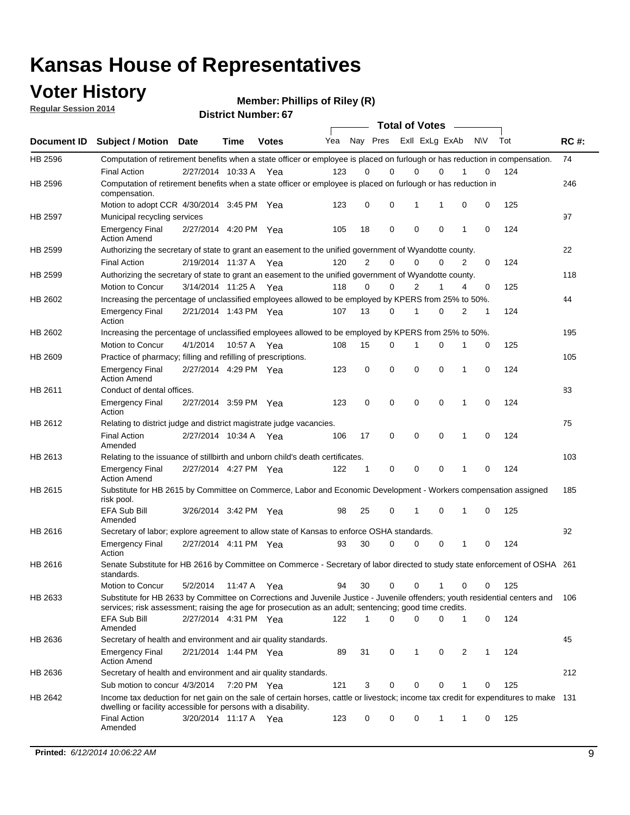### **Voter History**

**Regular Session 2014**

| <b>District Number: 67</b> |
|----------------------------|
|                            |

|         |                                                                                                                                                                                                                                       | <b>Total of Votes</b> |             |              |     |                |                         |             |             |              |           |     |             |
|---------|---------------------------------------------------------------------------------------------------------------------------------------------------------------------------------------------------------------------------------------|-----------------------|-------------|--------------|-----|----------------|-------------------------|-------------|-------------|--------------|-----------|-----|-------------|
|         | Document ID Subject / Motion Date                                                                                                                                                                                                     |                       | <b>Time</b> | <b>Votes</b> | Yea |                | Nay Pres Exll ExLg ExAb |             |             |              | <b>NV</b> | Tot | <b>RC#:</b> |
| HB 2596 | Computation of retirement benefits when a state officer or employee is placed on furlough or has reduction in compensation.                                                                                                           |                       |             |              |     |                |                         |             |             |              |           |     | 74          |
|         | <b>Final Action</b>                                                                                                                                                                                                                   | 2/27/2014 10:33 A     |             | Yea          | 123 | 0              | 0                       | $\mathbf 0$ | $\Omega$    |              | 0         | 124 |             |
| HB 2596 | Computation of retirement benefits when a state officer or employee is placed on furlough or has reduction in<br>compensation.                                                                                                        |                       |             |              |     |                |                         |             |             |              |           |     | 246         |
|         | Motion to adopt CCR 4/30/2014 3:45 PM Yea                                                                                                                                                                                             |                       |             |              | 123 | 0              | 0                       | 1           | 1           | 0            | 0         | 125 |             |
| HB 2597 | Municipal recycling services                                                                                                                                                                                                          |                       |             |              |     |                |                         |             |             |              |           |     | 97          |
|         | <b>Emergency Final</b><br><b>Action Amend</b>                                                                                                                                                                                         | 2/27/2014 4:20 PM Yea |             |              | 105 | 18             | 0                       | $\mathbf 0$ | 0           | 1            | 0         | 124 |             |
| HB 2599 | Authorizing the secretary of state to grant an easement to the unified government of Wyandotte county.                                                                                                                                |                       |             |              |     |                |                         |             |             |              |           |     | 22          |
|         | <b>Final Action</b>                                                                                                                                                                                                                   | 2/19/2014 11:37 A     |             | Yea          | 120 | $\overline{2}$ | 0                       | 0           | $\Omega$    | 2            | $\Omega$  | 124 |             |
| HB 2599 | Authorizing the secretary of state to grant an easement to the unified government of Wyandotte county.                                                                                                                                |                       |             |              |     |                |                         |             |             |              |           |     | 118         |
|         | Motion to Concur                                                                                                                                                                                                                      | 3/14/2014 11:25 A Yea |             |              | 118 | 0              | 0                       | 2           | 1           | 4            | 0         | 125 |             |
| HB 2602 | Increasing the percentage of unclassified employees allowed to be employed by KPERS from 25% to 50%.                                                                                                                                  |                       |             |              |     |                |                         |             |             |              |           |     | 44          |
|         | <b>Emergency Final</b><br>Action                                                                                                                                                                                                      | 2/21/2014 1:43 PM Yea |             |              | 107 | 13             | 0                       | 1           | 0           | 2            | 1         | 124 |             |
| HB 2602 | Increasing the percentage of unclassified employees allowed to be employed by KPERS from 25% to 50%.                                                                                                                                  |                       |             |              |     |                |                         |             |             |              |           |     | 195         |
|         | Motion to Concur                                                                                                                                                                                                                      | 4/1/2014              | 10:57 A     | Yea          | 108 | 15             | 0                       | 1           | $\mathbf 0$ | 1            | 0         | 125 |             |
| HB 2609 | Practice of pharmacy; filling and refilling of prescriptions.                                                                                                                                                                         |                       |             |              |     |                |                         |             |             |              |           |     | 105         |
|         | <b>Emergency Final</b><br><b>Action Amend</b>                                                                                                                                                                                         | 2/27/2014 4:29 PM Yea |             |              | 123 | 0              | $\mathbf 0$             | $\mathbf 0$ | $\mathbf 0$ | 1            | 0         | 124 |             |
| HB 2611 | Conduct of dental offices.                                                                                                                                                                                                            |                       |             |              |     |                |                         |             |             |              |           |     | 83          |
|         | <b>Emergency Final</b><br>Action                                                                                                                                                                                                      | 2/27/2014 3:59 PM Yea |             |              | 123 | 0              | $\mathbf 0$             | $\mathbf 0$ | 0           | 1            | 0         | 124 |             |
| HB 2612 | Relating to district judge and district magistrate judge vacancies.                                                                                                                                                                   |                       |             |              |     |                |                         |             |             |              |           |     | 75          |
|         | <b>Final Action</b><br>Amended                                                                                                                                                                                                        | 2/27/2014 10:34 A     |             | Yea          | 106 | 17             | $\mathbf 0$             | $\mathbf 0$ | $\mathbf 0$ | 1            | 0         | 124 |             |
| HB 2613 | Relating to the issuance of stillbirth and unborn child's death certificates.                                                                                                                                                         |                       |             |              |     |                |                         |             |             |              |           |     | 103         |
|         | <b>Emergency Final</b><br><b>Action Amend</b>                                                                                                                                                                                         | 2/27/2014 4:27 PM Yea |             |              | 122 | $\mathbf{1}$   | $\mathbf 0$             | $\mathbf 0$ | $\Omega$    | $\mathbf{1}$ | $\Omega$  | 124 |             |
| HB 2615 | Substitute for HB 2615 by Committee on Commerce, Labor and Economic Development - Workers compensation assigned<br>risk pool.                                                                                                         |                       |             |              |     |                |                         |             |             |              |           |     | 185         |
|         | EFA Sub Bill<br>Amended                                                                                                                                                                                                               | 3/26/2014 3:42 PM Yea |             |              | 98  | 25             | 0                       | 1           | $\mathbf 0$ | 1            | 0         | 125 |             |
| HB 2616 | Secretary of labor; explore agreement to allow state of Kansas to enforce OSHA standards.                                                                                                                                             |                       |             |              |     |                |                         |             |             |              |           |     | 92          |
|         | <b>Emergency Final</b><br>Action                                                                                                                                                                                                      | 2/27/2014 4:11 PM Yea |             |              | 93  | 30             | $\Omega$                | $\mathbf 0$ | 0           | 1            | 0         | 124 |             |
| HB 2616 | Senate Substitute for HB 2616 by Committee on Commerce - Secretary of labor directed to study state enforcement of OSHA 261<br>standards.                                                                                             |                       |             |              |     |                |                         |             |             |              |           |     |             |
|         | Motion to Concur                                                                                                                                                                                                                      | 5/2/2014 11:47 A Yea  |             |              | 94  | 30             | $\mathbf 0$             | 0           | 1           | 0            | 0         | 125 |             |
| HB 2633 | Substitute for HB 2633 by Committee on Corrections and Juvenile Justice - Juvenile offenders; youth residential centers and<br>services; risk assessment; raising the age for prosecution as an adult; sentencing; good time credits. |                       |             |              |     |                |                         |             |             |              |           |     | 106         |
|         | EFA Sub Bill<br>Amended                                                                                                                                                                                                               | 2/27/2014 4:31 PM Yea |             |              | 122 | 1              | $\Omega$                | $\Omega$    | 0           | 1            | 0         | 124 |             |
| HB 2636 | Secretary of health and environment and air quality standards.                                                                                                                                                                        |                       |             |              |     |                |                         |             |             |              |           |     | 45          |
|         | <b>Emergency Final</b><br><b>Action Amend</b>                                                                                                                                                                                         | 2/21/2014 1:44 PM Yea |             |              | 89  | 31             | 0                       | 1           | 0           | 2            | 1         | 124 |             |
| HB 2636 | Secretary of health and environment and air quality standards.                                                                                                                                                                        |                       |             |              |     |                |                         |             |             |              |           |     | 212         |
|         | Sub motion to concur 4/3/2014 7:20 PM Yea                                                                                                                                                                                             |                       |             |              | 121 | 3              | 0                       | 0           | 0           |              | 0         | 125 |             |
| HB 2642 | Income tax deduction for net gain on the sale of certain horses, cattle or livestock; income tax credit for expenditures to make 131                                                                                                  |                       |             |              |     |                |                         |             |             |              |           |     |             |
|         | dwelling or facility accessible for persons with a disability.<br><b>Final Action</b>                                                                                                                                                 | 3/20/2014 11:17 A Yea |             |              | 123 | 0              | 0                       | 0           | 1           | 1            | 0         | 125 |             |
|         | Amended                                                                                                                                                                                                                               |                       |             |              |     |                |                         |             |             |              |           |     |             |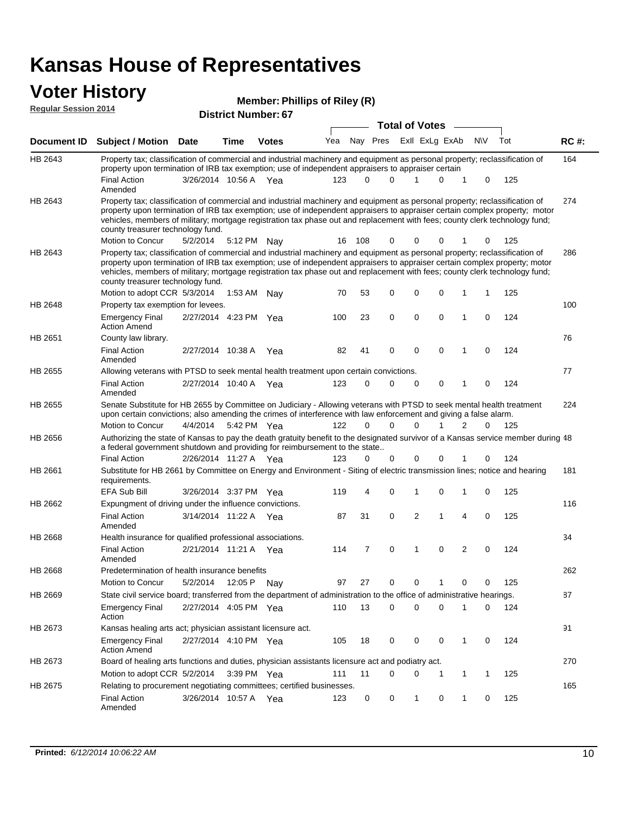#### **Voter History Member:**

| <b>VULCI FIISLUI Y</b><br><b>Regular Session 2014</b> |                                                                                                                                                                                                                                                                                                                                                                                                                               |                       |             | <b>Member: Phillips of Riley (R)</b> |     |                |             |                       |                |                |                |             |     |             |
|-------------------------------------------------------|-------------------------------------------------------------------------------------------------------------------------------------------------------------------------------------------------------------------------------------------------------------------------------------------------------------------------------------------------------------------------------------------------------------------------------|-----------------------|-------------|--------------------------------------|-----|----------------|-------------|-----------------------|----------------|----------------|----------------|-------------|-----|-------------|
|                                                       |                                                                                                                                                                                                                                                                                                                                                                                                                               |                       |             | <b>District Number: 67</b>           |     |                |             | <b>Total of Votes</b> |                |                |                |             |     |             |
| Document ID                                           | Subject / Motion Date                                                                                                                                                                                                                                                                                                                                                                                                         |                       | Time        | <b>Votes</b>                         | Yea |                | Nay Pres    |                       |                | Exll ExLg ExAb |                | <b>NV</b>   | Tot | <b>RC#:</b> |
| HB 2643                                               | Property tax; classification of commercial and industrial machinery and equipment as personal property; reclassification of<br>property upon termination of IRB tax exemption; use of independent appraisers to appraiser certain                                                                                                                                                                                             |                       |             |                                      |     |                |             |                       |                |                |                |             |     | 164         |
|                                                       | <b>Final Action</b><br>Amended                                                                                                                                                                                                                                                                                                                                                                                                | 3/26/2014 10:56 A     |             | - Yea                                | 123 | $\Omega$       | $\Omega$    | 1                     |                | 0              | 1              | 0           | 125 |             |
| HB 2643                                               | Property tax; classification of commercial and industrial machinery and equipment as personal property; reclassification of<br>property upon termination of IRB tax exemption; use of independent appraisers to appraiser certain complex property; motor<br>vehicles, members of military; mortgage registration tax phase out and replacement with fees; county clerk technology fund;<br>county treasurer technology fund. |                       |             |                                      |     |                |             |                       |                |                |                |             |     | 274         |
|                                                       | <b>Motion to Concur</b>                                                                                                                                                                                                                                                                                                                                                                                                       | 5/2/2014              | 5:12 PM Nay |                                      | 16  | 108            | $\Omega$    |                       | 0              | 0              |                | 0           | 125 |             |
| HB 2643                                               | Property tax; classification of commercial and industrial machinery and equipment as personal property; reclassification of<br>property upon termination of IRB tax exemption; use of independent appraisers to appraiser certain complex property; motor<br>vehicles, members of military; mortgage registration tax phase out and replacement with fees; county clerk technology fund;<br>county treasurer technology fund. |                       |             |                                      |     |                |             |                       |                |                |                |             |     | 286         |
|                                                       | Motion to adopt CCR 5/3/2014                                                                                                                                                                                                                                                                                                                                                                                                  |                       |             | 1:53 AM Nay                          | 70  | 53             | 0           |                       | 0              | $\mathbf 0$    | 1              | 1           | 125 |             |
| HB 2648                                               | Property tax exemption for levees.<br><b>Emergency Final</b><br><b>Action Amend</b>                                                                                                                                                                                                                                                                                                                                           | 2/27/2014 4:23 PM Yea |             |                                      | 100 | 23             | $\mathbf 0$ |                       | 0              | $\mathbf 0$    | 1              | $\mathbf 0$ | 124 | 100         |
| HB 2651                                               | County law library.                                                                                                                                                                                                                                                                                                                                                                                                           |                       |             |                                      |     |                |             |                       |                |                |                |             |     | 76          |
|                                                       | <b>Final Action</b><br>Amended                                                                                                                                                                                                                                                                                                                                                                                                | 2/27/2014 10:38 A     |             | Yea                                  | 82  | 41             | $\Omega$    |                       | 0              | $\Omega$       | 1              | 0           | 124 |             |
| HB 2655                                               | Allowing veterans with PTSD to seek mental health treatment upon certain convictions.                                                                                                                                                                                                                                                                                                                                         |                       |             |                                      |     |                |             |                       |                |                |                |             |     | 77          |
|                                                       | <b>Final Action</b><br>Amended                                                                                                                                                                                                                                                                                                                                                                                                | 2/27/2014 10:40 A     |             | Yea                                  | 123 | $\Omega$       | $\Omega$    |                       | 0              | $\mathbf 0$    | 1              | 0           | 124 |             |
| HB 2655                                               | Senate Substitute for HB 2655 by Committee on Judiciary - Allowing veterans with PTSD to seek mental health treatment<br>upon certain convictions; also amending the crimes of interference with law enforcement and giving a false alarm.                                                                                                                                                                                    |                       |             |                                      |     |                |             |                       |                |                |                |             |     | 224         |
|                                                       | <b>Motion to Concur</b>                                                                                                                                                                                                                                                                                                                                                                                                       | 4/4/2014              |             | 5:42 PM Yea                          | 122 | $\Omega$       | $\Omega$    |                       | $\Omega$       |                | 2              | 0           | 125 |             |
| HB 2656                                               | Authorizing the state of Kansas to pay the death gratuity benefit to the designated survivor of a Kansas service member during 48<br>a federal government shutdown and providing for reimbursement to the state                                                                                                                                                                                                               |                       |             |                                      |     |                |             |                       |                |                |                |             |     |             |
|                                                       | <b>Final Action</b>                                                                                                                                                                                                                                                                                                                                                                                                           | 2/26/2014 11:27 A     |             | - Yea                                | 123 | 0              | $\Omega$    |                       | 0              | $\Omega$       | 1              | 0           | 124 |             |
| HB 2661                                               | Substitute for HB 2661 by Committee on Energy and Environment - Siting of electric transmission lines; notice and hearing<br>requirements.                                                                                                                                                                                                                                                                                    |                       |             |                                      |     |                |             |                       |                |                |                |             |     | 181         |
|                                                       | EFA Sub Bill                                                                                                                                                                                                                                                                                                                                                                                                                  | 3/26/2014 3:37 PM Yea |             |                                      | 119 | 4              | 0           |                       | 1              | $\mathbf 0$    | 1              | 0           | 125 |             |
| HB 2662                                               | Expungment of driving under the influence convictions.                                                                                                                                                                                                                                                                                                                                                                        |                       |             |                                      |     |                |             |                       |                |                |                |             |     | 116         |
|                                                       | <b>Final Action</b><br>Amended                                                                                                                                                                                                                                                                                                                                                                                                | 3/14/2014 11:22 A     |             | Yea                                  | 87  | 31             | $\Omega$    |                       | $\overline{2}$ | 1              | 4              | $\Omega$    | 125 |             |
| HB 2668                                               | Health insurance for qualified professional associations.                                                                                                                                                                                                                                                                                                                                                                     |                       |             |                                      |     |                |             |                       |                |                |                |             |     | 34          |
|                                                       | <b>Final Action</b><br>Amended                                                                                                                                                                                                                                                                                                                                                                                                | 2/21/2014 11:21 A Yea |             |                                      | 114 | $\overline{7}$ | $\mathbf 0$ |                       | $\mathbf{1}$   | $\mathbf 0$    | $\overline{2}$ | 0           | 124 |             |
| HB 2668                                               | Predetermination of health insurance benefits                                                                                                                                                                                                                                                                                                                                                                                 |                       |             |                                      |     |                |             |                       |                |                |                |             |     | 262         |
|                                                       | <b>Motion to Concur</b>                                                                                                                                                                                                                                                                                                                                                                                                       | 5/2/2014              | 12:05 P     | Nav                                  | 97  | 27             | 0           |                       | 0              |                | 0              |             | 125 |             |
| HB 2669                                               | State civil service board; transferred from the department of administration to the office of administrative hearings.                                                                                                                                                                                                                                                                                                        |                       |             |                                      |     |                |             |                       |                |                |                |             |     | 87          |

2/27/2014 Emergency Final Yea 124 4:05 PM 110 13 0 0 10 0

Emergency Final 2/27/2014 4:10 PM Yea 405 18 0 0 0 1 0 124

Motion to adopt CCR 5/2/2014 3:39 PM Yea 111 11 0 0 1 1 1 125

Final Action 3/26/2014 10:57 A Yea 123 0 0 1 0 125

Board of healing arts functions and duties, physician assistants licensure act and podiatry act.

Action

Action Amend

Amended

Kansas healing arts act; physician assistant licensure act.

Relating to procurement negotiating committees; certified businesses.

HB 2673

HB 2673

HB 2675

91

270

165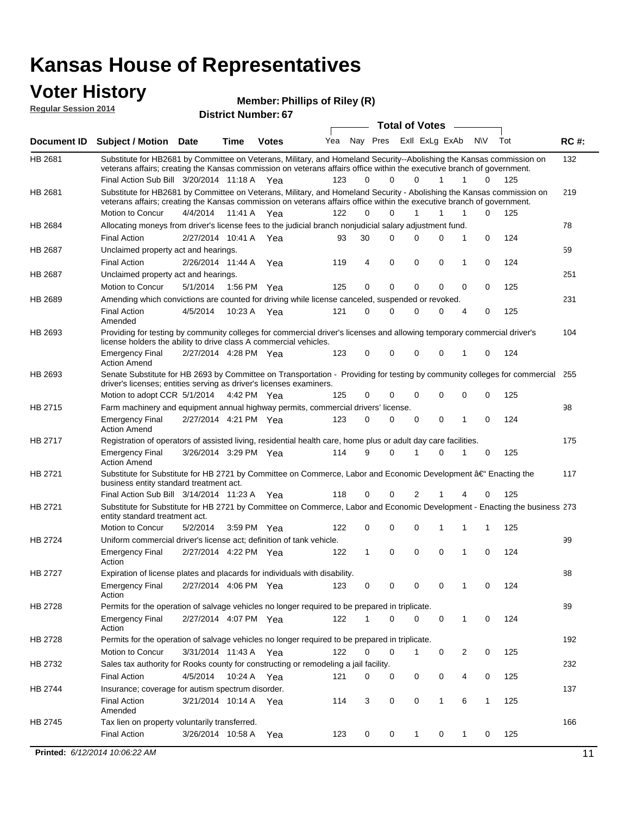#### **Voter History Regular Session 2014**

| noguiui ocoolori zu i <del>1</del> |                                                                                                                                                                                                                                                                                               |                       |             | <b>District Number: 67</b> |     |              |          |              |                         |              |              |     |             |
|------------------------------------|-----------------------------------------------------------------------------------------------------------------------------------------------------------------------------------------------------------------------------------------------------------------------------------------------|-----------------------|-------------|----------------------------|-----|--------------|----------|--------------|-------------------------|--------------|--------------|-----|-------------|
|                                    |                                                                                                                                                                                                                                                                                               |                       |             |                            |     |              |          |              | <b>Total of Votes</b>   |              |              |     |             |
| <b>Document ID</b>                 | <b>Subject / Motion Date</b>                                                                                                                                                                                                                                                                  |                       | Time        | <b>Votes</b>               | Yea |              |          |              | Nay Pres Exll ExLg ExAb |              | <b>NV</b>    | Tot | <b>RC#:</b> |
| HB 2681                            | Substitute for HB2681 by Committee on Veterans, Military, and Homeland Security--Abolishing the Kansas commission on<br>veterans affairs; creating the Kansas commission on veterans affairs office within the executive branch of government.<br>Final Action Sub Bill 3/20/2014 11:18 A Yea |                       |             |                            | 123 | 0            | $\Omega$ | 0            | 1                       | 1            | 0            | 125 | 132         |
| HB 2681                            | Substitute for HB2681 by Committee on Veterans, Military, and Homeland Security - Abolishing the Kansas commission on<br>veterans affairs; creating the Kansas commission on veterans affairs office within the executive branch of government.                                               |                       |             |                            |     |              |          |              |                         |              |              |     | 219         |
|                                    | Motion to Concur                                                                                                                                                                                                                                                                              | 4/4/2014              | 11:41 A Yea |                            | 122 | 0            | 0        | 1            | 1                       | 1            | 0            | 125 |             |
| HB 2684                            | Allocating moneys from driver's license fees to the judicial branch nonjudicial salary adjustment fund.                                                                                                                                                                                       |                       |             |                            |     |              |          |              |                         |              |              |     | 78          |
|                                    | <b>Final Action</b>                                                                                                                                                                                                                                                                           | 2/27/2014 10:41 A Yea |             |                            | 93  | 30           | 0        | $\Omega$     | 0                       | 1            | 0            | 124 |             |
| <b>HB 2687</b>                     | Unclaimed property act and hearings.                                                                                                                                                                                                                                                          |                       |             |                            |     |              |          |              |                         |              |              |     | 59          |
|                                    | <b>Final Action</b>                                                                                                                                                                                                                                                                           | 2/26/2014 11:44 A     |             | Yea                        | 119 | 4            | 0        | 0            | 0                       | 1            | 0            | 124 |             |
| HB 2687                            | Unclaimed property act and hearings.                                                                                                                                                                                                                                                          |                       |             |                            |     |              |          |              |                         |              |              |     | 251         |
|                                    | Motion to Concur                                                                                                                                                                                                                                                                              | 5/1/2014              |             | 1:56 PM Yea                | 125 | 0            | 0        | 0            | 0                       | 0            | 0            | 125 |             |
| HB 2689                            | Amending which convictions are counted for driving while license canceled, suspended or revoked.                                                                                                                                                                                              |                       |             |                            |     |              |          |              |                         |              |              |     | 231         |
|                                    | <b>Final Action</b><br>Amended                                                                                                                                                                                                                                                                | 4/5/2014              |             | 10:23 A Yea                | 121 | 0            | 0        | $\Omega$     | 0                       | 4            | 0            | 125 |             |
| HB 2693                            | Providing for testing by community colleges for commercial driver's licenses and allowing temporary commercial driver's<br>license holders the ability to drive class A commercial vehicles.                                                                                                  |                       |             |                            |     |              |          |              |                         |              |              |     | 104         |
|                                    | <b>Emergency Final</b><br><b>Action Amend</b>                                                                                                                                                                                                                                                 | 2/27/2014 4:28 PM Yea |             |                            | 123 | 0            | $\Omega$ | $\Omega$     | 0                       | 1            | 0            | 124 |             |
| HB 2693                            | Senate Substitute for HB 2693 by Committee on Transportation - Providing for testing by community colleges for commercial<br>driver's licenses; entities serving as driver's licenses examiners.                                                                                              |                       |             |                            |     |              |          |              |                         |              |              |     | 255         |
|                                    | Motion to adopt CCR 5/1/2014 4:42 PM Yea                                                                                                                                                                                                                                                      |                       |             |                            | 125 | 0            | 0        | 0            | 0                       | 0            | 0            | 125 |             |
| HB 2715                            | Farm machinery and equipment annual highway permits, commercial drivers' license.                                                                                                                                                                                                             |                       |             |                            |     |              |          |              |                         |              |              |     | 98          |
|                                    | <b>Emergency Final</b><br><b>Action Amend</b>                                                                                                                                                                                                                                                 | 2/27/2014 4:21 PM Yea |             |                            | 123 | 0            | 0        | 0            | 0                       | 1            | 0            | 124 |             |
| HB 2717                            | Registration of operators of assisted living, residential health care, home plus or adult day care facilities.                                                                                                                                                                                |                       |             |                            |     |              |          |              |                         |              |              |     | 175         |
|                                    | <b>Emergency Final</b><br><b>Action Amend</b>                                                                                                                                                                                                                                                 | 3/26/2014 3:29 PM Yea |             |                            | 114 | 9            | 0        | 1            | 0                       | 1            | 0            | 125 |             |
| HB 2721                            | Substitute for Substitute for HB 2721 by Committee on Commerce, Labor and Economic Development †Enacting the<br>business entity standard treatment act.                                                                                                                                       |                       |             |                            |     |              |          |              |                         |              |              |     | 117         |
|                                    | Final Action Sub Bill 3/14/2014 11:23 A Yea                                                                                                                                                                                                                                                   |                       |             |                            | 118 | 0            | 0        | 2            | 1                       | 4            | 0            | 125 |             |
| HB 2721                            | Substitute for Substitute for HB 2721 by Committee on Commerce, Labor and Economic Development - Enacting the business 273<br>entity standard treatment act.                                                                                                                                  |                       |             |                            |     |              |          |              |                         |              |              |     |             |
|                                    | Motion to Concur                                                                                                                                                                                                                                                                              | 5/2/2014              |             | 3:59 PM Yea                | 122 | 0            | 0        | 0            | 1                       | 1            | 1            | 125 |             |
| HB 2724                            | Uniform commercial driver's license act; definition of tank vehicle.                                                                                                                                                                                                                          |                       |             |                            |     |              |          |              |                         |              |              |     | 99          |
|                                    | <b>Emergency Final</b><br>Action                                                                                                                                                                                                                                                              | 2/27/2014 4:22 PM Yea |             |                            | 122 | $\mathbf{1}$ | 0        | 0            | 0                       | 1            | 0            | 124 |             |
| HB 2727                            | Expiration of license plates and placards for individuals with disability.                                                                                                                                                                                                                    |                       |             |                            |     |              |          |              |                         |              |              |     | 88          |
|                                    | <b>Emergency Final</b><br>Action                                                                                                                                                                                                                                                              | 2/27/2014 4:06 PM Yea |             |                            | 123 | 0            | 0        | 0            | 0                       | 1            | 0            | 124 |             |
| HB 2728                            | Permits for the operation of salvage vehicles no longer required to be prepared in triplicate.                                                                                                                                                                                                |                       |             |                            |     |              |          |              |                         |              |              |     | 89          |
|                                    | <b>Emergency Final</b><br>Action                                                                                                                                                                                                                                                              | 2/27/2014 4:07 PM Yea |             |                            | 122 | 1            | 0        | $\Omega$     | 0                       | $\mathbf{1}$ | 0            | 124 |             |
| HB 2728                            | Permits for the operation of salvage vehicles no longer required to be prepared in triplicate.                                                                                                                                                                                                |                       |             |                            |     |              |          |              |                         |              |              |     | 192         |
|                                    | Motion to Concur                                                                                                                                                                                                                                                                              | 3/31/2014 11:43 A Yea |             |                            | 122 | 0            | 0        | 1            | 0                       | 2            | 0            | 125 |             |
| HB 2732                            | Sales tax authority for Rooks county for constructing or remodeling a jail facility.                                                                                                                                                                                                          |                       |             |                            |     |              |          |              |                         |              |              |     | 232         |
|                                    | <b>Final Action</b>                                                                                                                                                                                                                                                                           | 4/5/2014 10:24 A Yea  |             |                            | 121 | 0            | 0        | 0            | 0                       | 4            | 0            | 125 |             |
| HB 2744                            | Insurance; coverage for autism spectrum disorder.                                                                                                                                                                                                                                             |                       |             |                            |     |              |          |              |                         |              |              |     | 137         |
|                                    | <b>Final Action</b>                                                                                                                                                                                                                                                                           | 3/21/2014 10:14 A Yea |             |                            | 114 | 3            | 0        | 0            | 1                       | 6            | $\mathbf{1}$ | 125 |             |
|                                    | Amended                                                                                                                                                                                                                                                                                       |                       |             |                            |     |              |          |              |                         |              |              |     |             |
| HB 2745                            | Tax lien on property voluntarily transferred.                                                                                                                                                                                                                                                 |                       |             |                            |     |              |          |              |                         |              |              |     | 166         |
|                                    | <b>Final Action</b>                                                                                                                                                                                                                                                                           | 3/26/2014 10:58 A     |             | Yea                        | 123 | 0            | 0        | $\mathbf{1}$ | 0                       | 1            | 0            | 125 |             |
|                                    | Printed: 6/12/2014 10:06:22 AM                                                                                                                                                                                                                                                                |                       |             |                            |     |              |          |              |                         |              |              |     | 11          |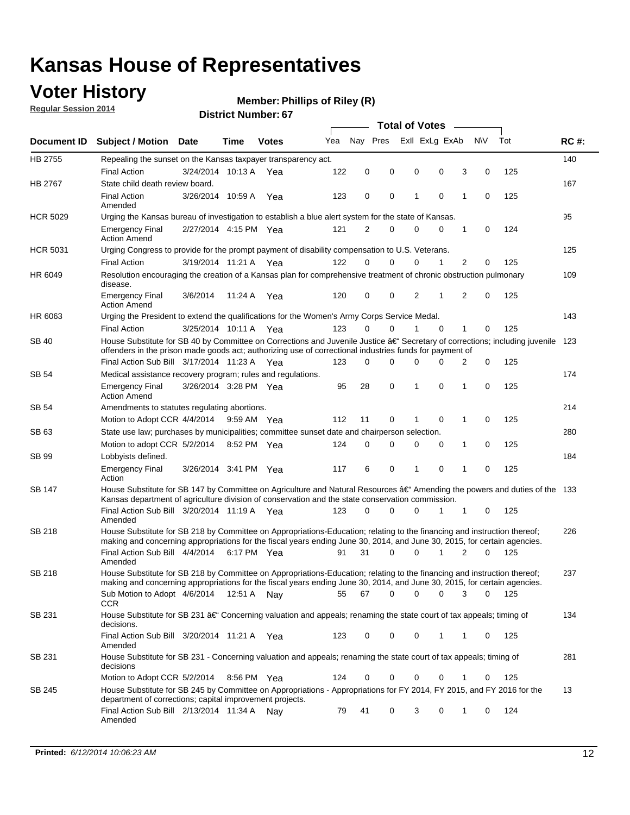## **Voter History**

**Regular Session 2014**

#### **Member: Phillips of Riley (R)**

| Nav Pres<br>Exll ExLg ExAb<br>Yea<br>Document ID Subject / Motion Date<br><b>Votes</b><br>Time<br>HB 2755<br>Repealing the sunset on the Kansas taxpayer transparency act.<br>0<br>0<br><b>Final Action</b><br>3/24/2014 10:13 A<br>122<br>0<br>0<br>Yea<br>State child death review board.<br><b>HB 2767</b><br><b>Final Action</b><br>0<br>1<br>0<br>3/26/2014 10:59 A<br>123<br>0<br>Yea<br>Amended<br><b>HCR 5029</b><br>Urging the Kansas bureau of investigation to establish a blue alert system for the state of Kansas.<br>2/27/2014 4:15 PM Yea<br>121<br>2<br>0<br>0<br>0<br><b>Emergency Final</b><br><b>Action Amend</b><br><b>HCR 5031</b><br>Urging Congress to provide for the prompt payment of disability compensation to U.S. Veterans.<br>122<br>$\Omega$<br>$\Omega$<br>0<br>1<br><b>Final Action</b><br>3/19/2014 11:21 A Yea<br>HR 6049<br>Resolution encouraging the creation of a Kansas plan for comprehensive treatment of chronic obstruction pulmonary<br>disease. | <b>NV</b><br>3<br>0<br>1<br>0<br>1<br>0<br>2<br>0<br>2<br>$\mathbf 0$ | Tot<br>125<br>125<br>124<br>125 | <b>RC#:</b><br>140<br>167<br>95<br>125 |
|-------------------------------------------------------------------------------------------------------------------------------------------------------------------------------------------------------------------------------------------------------------------------------------------------------------------------------------------------------------------------------------------------------------------------------------------------------------------------------------------------------------------------------------------------------------------------------------------------------------------------------------------------------------------------------------------------------------------------------------------------------------------------------------------------------------------------------------------------------------------------------------------------------------------------------------------------------------------------------------------------|-----------------------------------------------------------------------|---------------------------------|----------------------------------------|
|                                                                                                                                                                                                                                                                                                                                                                                                                                                                                                                                                                                                                                                                                                                                                                                                                                                                                                                                                                                                 |                                                                       |                                 |                                        |
|                                                                                                                                                                                                                                                                                                                                                                                                                                                                                                                                                                                                                                                                                                                                                                                                                                                                                                                                                                                                 |                                                                       |                                 |                                        |
|                                                                                                                                                                                                                                                                                                                                                                                                                                                                                                                                                                                                                                                                                                                                                                                                                                                                                                                                                                                                 |                                                                       |                                 |                                        |
|                                                                                                                                                                                                                                                                                                                                                                                                                                                                                                                                                                                                                                                                                                                                                                                                                                                                                                                                                                                                 |                                                                       |                                 |                                        |
|                                                                                                                                                                                                                                                                                                                                                                                                                                                                                                                                                                                                                                                                                                                                                                                                                                                                                                                                                                                                 |                                                                       |                                 |                                        |
|                                                                                                                                                                                                                                                                                                                                                                                                                                                                                                                                                                                                                                                                                                                                                                                                                                                                                                                                                                                                 |                                                                       |                                 |                                        |
|                                                                                                                                                                                                                                                                                                                                                                                                                                                                                                                                                                                                                                                                                                                                                                                                                                                                                                                                                                                                 |                                                                       |                                 |                                        |
|                                                                                                                                                                                                                                                                                                                                                                                                                                                                                                                                                                                                                                                                                                                                                                                                                                                                                                                                                                                                 |                                                                       |                                 |                                        |
|                                                                                                                                                                                                                                                                                                                                                                                                                                                                                                                                                                                                                                                                                                                                                                                                                                                                                                                                                                                                 |                                                                       |                                 |                                        |
|                                                                                                                                                                                                                                                                                                                                                                                                                                                                                                                                                                                                                                                                                                                                                                                                                                                                                                                                                                                                 |                                                                       |                                 | 109                                    |
| 120<br>0<br>0<br>2<br>1<br><b>Emergency Final</b><br>3/6/2014<br>11:24 A<br>Yea<br><b>Action Amend</b>                                                                                                                                                                                                                                                                                                                                                                                                                                                                                                                                                                                                                                                                                                                                                                                                                                                                                          |                                                                       | 125                             |                                        |
| HR 6063<br>Urging the President to extend the qualifications for the Women's Army Corps Service Medal.                                                                                                                                                                                                                                                                                                                                                                                                                                                                                                                                                                                                                                                                                                                                                                                                                                                                                          |                                                                       |                                 | 143                                    |
| 123<br>$\Omega$<br>0<br>$\Omega$<br><b>Final Action</b><br>3/25/2014 10:11 A Yea<br>1                                                                                                                                                                                                                                                                                                                                                                                                                                                                                                                                                                                                                                                                                                                                                                                                                                                                                                           | 1<br>0                                                                | 125                             |                                        |
| House Substitute for SB 40 by Committee on Corrections and Juvenile Justice †Secretary of corrections; including juvenile<br>SB 40<br>offenders in the prison made goods act; authorizing use of correctional industries funds for payment of                                                                                                                                                                                                                                                                                                                                                                                                                                                                                                                                                                                                                                                                                                                                                   |                                                                       |                                 | 123                                    |
| Final Action Sub Bill 3/17/2014 11:23 A Yea<br>0<br>123<br>$\Omega$<br>0<br>0                                                                                                                                                                                                                                                                                                                                                                                                                                                                                                                                                                                                                                                                                                                                                                                                                                                                                                                   | 0<br>2                                                                | 125                             |                                        |
| SB 54<br>Medical assistance recovery program; rules and regulations.                                                                                                                                                                                                                                                                                                                                                                                                                                                                                                                                                                                                                                                                                                                                                                                                                                                                                                                            |                                                                       |                                 | 174                                    |
| 3/26/2014 3:28 PM Yea<br>28<br>0<br>1<br>0<br><b>Emergency Final</b><br>95<br><b>Action Amend</b>                                                                                                                                                                                                                                                                                                                                                                                                                                                                                                                                                                                                                                                                                                                                                                                                                                                                                               | 1<br>0                                                                | 125                             |                                        |
| SB 54<br>Amendments to statutes regulating abortions.                                                                                                                                                                                                                                                                                                                                                                                                                                                                                                                                                                                                                                                                                                                                                                                                                                                                                                                                           |                                                                       |                                 | 214                                    |
| 112<br>11<br>0<br>0<br>Motion to Adopt CCR 4/4/2014 9:59 AM Yea                                                                                                                                                                                                                                                                                                                                                                                                                                                                                                                                                                                                                                                                                                                                                                                                                                                                                                                                 | 1<br>0                                                                | 125                             |                                        |
| State use law; purchases by municipalities; committee sunset date and chairperson selection.<br>SB 63                                                                                                                                                                                                                                                                                                                                                                                                                                                                                                                                                                                                                                                                                                                                                                                                                                                                                           |                                                                       |                                 | 280                                    |
| Motion to adopt CCR 5/2/2014<br>$\mathbf 0$<br>0<br>8:52 PM Yea<br>124<br>0<br>0                                                                                                                                                                                                                                                                                                                                                                                                                                                                                                                                                                                                                                                                                                                                                                                                                                                                                                                | 1<br>0                                                                | 125                             |                                        |
| SB 99<br>Lobbyists defined.                                                                                                                                                                                                                                                                                                                                                                                                                                                                                                                                                                                                                                                                                                                                                                                                                                                                                                                                                                     |                                                                       |                                 | 184                                    |
| 0<br>117<br>6<br>0<br><b>Emergency Final</b><br>3/26/2014 3:41 PM Yea<br>1<br>Action                                                                                                                                                                                                                                                                                                                                                                                                                                                                                                                                                                                                                                                                                                                                                                                                                                                                                                            | 1<br>$\mathbf 0$                                                      | 125                             |                                        |
| House Substitute for SB 147 by Committee on Agriculture and Natural Resources †Amending the powers and duties of the 133<br>SB 147<br>Kansas department of agriculture division of conservation and the state conservation commission.                                                                                                                                                                                                                                                                                                                                                                                                                                                                                                                                                                                                                                                                                                                                                          |                                                                       |                                 |                                        |
| Final Action Sub Bill 3/20/2014 11:19 A Yea<br>0<br>123<br>0<br>0<br>1<br>Amended                                                                                                                                                                                                                                                                                                                                                                                                                                                                                                                                                                                                                                                                                                                                                                                                                                                                                                               | 1<br>0                                                                | 125                             |                                        |
| <b>SB 218</b><br>House Substitute for SB 218 by Committee on Appropriations-Education; relating to the financing and instruction thereof;                                                                                                                                                                                                                                                                                                                                                                                                                                                                                                                                                                                                                                                                                                                                                                                                                                                       |                                                                       |                                 | 226                                    |
| making and concerning appropriations for the fiscal years ending June 30, 2014, and June 30, 2015, for certain agencies.<br>Final Action Sub Bill 4/4/2014 6:17 PM Yea<br>31<br>$\Omega$<br>0<br>1<br>91                                                                                                                                                                                                                                                                                                                                                                                                                                                                                                                                                                                                                                                                                                                                                                                        | 2<br>$\Omega$                                                         | 125                             |                                        |
| Amended                                                                                                                                                                                                                                                                                                                                                                                                                                                                                                                                                                                                                                                                                                                                                                                                                                                                                                                                                                                         |                                                                       |                                 |                                        |
| <b>SB 218</b><br>House Substitute for SB 218 by Committee on Appropriations-Education; relating to the financing and instruction thereof;                                                                                                                                                                                                                                                                                                                                                                                                                                                                                                                                                                                                                                                                                                                                                                                                                                                       |                                                                       |                                 | 237                                    |
| making and concerning appropriations for the fiscal years ending June 30, 2014, and June 30, 2015, for certain agencies.                                                                                                                                                                                                                                                                                                                                                                                                                                                                                                                                                                                                                                                                                                                                                                                                                                                                        |                                                                       |                                 |                                        |
| 67<br>0<br>0<br>0<br>Sub Motion to Adopt 4/6/2014 12:51 A Nay<br>55<br>CCR                                                                                                                                                                                                                                                                                                                                                                                                                                                                                                                                                                                                                                                                                                                                                                                                                                                                                                                      | 3<br>0                                                                | - 125                           |                                        |
| SB 231<br>House Substitute for SB 231 †Concerning valuation and appeals; renaming the state court of tax appeals; timing of<br>decisions.                                                                                                                                                                                                                                                                                                                                                                                                                                                                                                                                                                                                                                                                                                                                                                                                                                                       |                                                                       |                                 | 134                                    |
| Final Action Sub Bill 3/20/2014 11:21 A Yea<br>123<br>0<br>0<br>0<br>1<br>Amended                                                                                                                                                                                                                                                                                                                                                                                                                                                                                                                                                                                                                                                                                                                                                                                                                                                                                                               | 1<br>0                                                                | 125                             |                                        |
| SB 231<br>House Substitute for SB 231 - Concerning valuation and appeals; renaming the state court of tax appeals; timing of<br>decisions                                                                                                                                                                                                                                                                                                                                                                                                                                                                                                                                                                                                                                                                                                                                                                                                                                                       |                                                                       |                                 | 281                                    |
| Motion to Adopt CCR 5/2/2014 8:56 PM Yea<br>124<br>0<br>0<br>0<br>0                                                                                                                                                                                                                                                                                                                                                                                                                                                                                                                                                                                                                                                                                                                                                                                                                                                                                                                             | 1<br>0                                                                | 125                             |                                        |
| House Substitute for SB 245 by Committee on Appropriations - Appropriations for FY 2014, FY 2015, and FY 2016 for the<br>SB 245<br>department of corrections; capital improvement projects.                                                                                                                                                                                                                                                                                                                                                                                                                                                                                                                                                                                                                                                                                                                                                                                                     |                                                                       |                                 | 13                                     |
| Final Action Sub Bill 2/13/2014 11:34 A Nay<br>79<br>41<br>0<br>3<br>0<br>Amended                                                                                                                                                                                                                                                                                                                                                                                                                                                                                                                                                                                                                                                                                                                                                                                                                                                                                                               | 0<br>1                                                                | 124                             |                                        |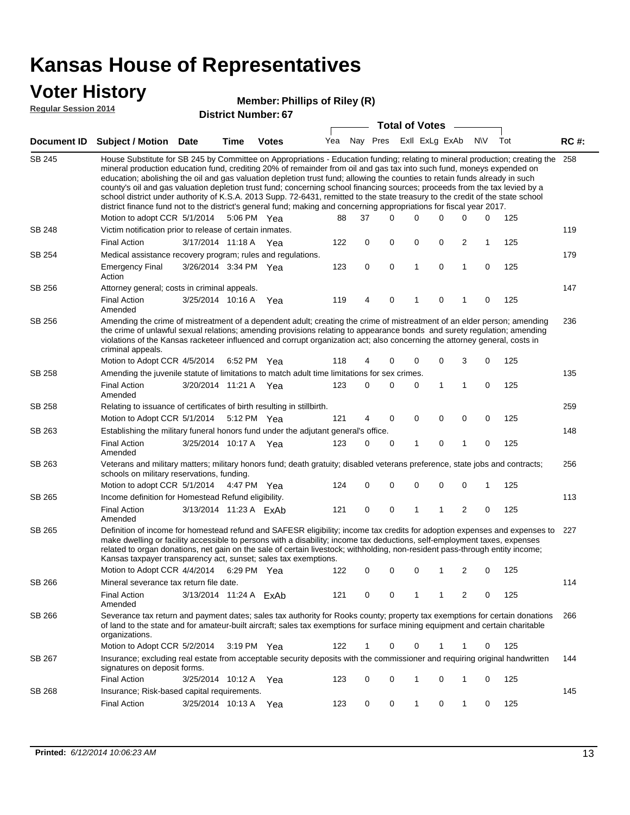### **Voter History**

#### **Member: Phillips of Riley (R)**

**Regular Session 2014**

|        |                                                                                                                                                                                                                                                                                                                                                                                                                                                                                                                                                                                                                                                                                                                                                                               |                        |      |                       |     |             |          | <b>Total of Votes</b> |                |             |                         |             |     |             |
|--------|-------------------------------------------------------------------------------------------------------------------------------------------------------------------------------------------------------------------------------------------------------------------------------------------------------------------------------------------------------------------------------------------------------------------------------------------------------------------------------------------------------------------------------------------------------------------------------------------------------------------------------------------------------------------------------------------------------------------------------------------------------------------------------|------------------------|------|-----------------------|-----|-------------|----------|-----------------------|----------------|-------------|-------------------------|-------------|-----|-------------|
|        | Document ID Subject / Motion Date                                                                                                                                                                                                                                                                                                                                                                                                                                                                                                                                                                                                                                                                                                                                             |                        | Time | <b>Votes</b>          | Yea |             | Nay Pres |                       | Exll ExLg ExAb |             |                         | <b>NV</b>   | Tot | <b>RC#:</b> |
| SB 245 | House Substitute for SB 245 by Committee on Appropriations - Education funding; relating to mineral production; creating the<br>mineral production education fund, crediting 20% of remainder from oil and gas tax into such fund, moneys expended on<br>education; abolishing the oil and gas valuation depletion trust fund; allowing the counties to retain funds already in such<br>county's oil and gas valuation depletion trust fund; concerning school financing sources; proceeds from the tax levied by a<br>school district under authority of K.S.A. 2013 Supp. 72-6431, remitted to the state treasury to the credit of the state school<br>district finance fund not to the district's general fund; making and concerning appropriations for fiscal year 2017. |                        |      |                       |     |             |          |                       |                |             |                         |             |     | 258         |
|        | Motion to adopt CCR 5/1/2014                                                                                                                                                                                                                                                                                                                                                                                                                                                                                                                                                                                                                                                                                                                                                  |                        |      | 5:06 PM Yea           | 88  | 37          | 0        |                       | $\Omega$       | 0           | 0                       | 0           | 125 |             |
| SB 248 | Victim notification prior to release of certain inmates.                                                                                                                                                                                                                                                                                                                                                                                                                                                                                                                                                                                                                                                                                                                      |                        |      |                       |     |             |          |                       |                |             |                         |             |     | 119         |
|        | <b>Final Action</b>                                                                                                                                                                                                                                                                                                                                                                                                                                                                                                                                                                                                                                                                                                                                                           | 3/17/2014 11:18 A Yea  |      |                       | 122 | 0           | 0        |                       | 0              | 0           | $\overline{\mathbf{c}}$ | 1           | 125 |             |
| SB 254 | Medical assistance recovery program; rules and regulations.                                                                                                                                                                                                                                                                                                                                                                                                                                                                                                                                                                                                                                                                                                                   |                        |      |                       |     |             |          |                       |                |             |                         |             |     | 179         |
|        | <b>Emergency Final</b><br>Action                                                                                                                                                                                                                                                                                                                                                                                                                                                                                                                                                                                                                                                                                                                                              | 3/26/2014 3:34 PM Yea  |      |                       | 123 | 0           | 0        |                       | $\mathbf{1}$   | 0           | 1                       | 0           | 125 |             |
| SB 256 | Attorney general; costs in criminal appeals.                                                                                                                                                                                                                                                                                                                                                                                                                                                                                                                                                                                                                                                                                                                                  |                        |      |                       |     |             |          |                       |                |             |                         |             |     | 147         |
|        | <b>Final Action</b><br>Amended                                                                                                                                                                                                                                                                                                                                                                                                                                                                                                                                                                                                                                                                                                                                                | 3/25/2014 10:16 A      |      | Yea                   | 119 | 4           | 0        |                       | 1              | 0           | 1                       | 0           | 125 |             |
| SB 256 | Amending the crime of mistreatment of a dependent adult; creating the crime of mistreatment of an elder person; amending<br>the crime of unlawful sexual relations; amending provisions relating to appearance bonds and surety regulation; amending<br>violations of the Kansas racketeer influenced and corrupt organization act; also concerning the attorney general, costs in<br>criminal appeals.                                                                                                                                                                                                                                                                                                                                                                       |                        |      |                       |     |             |          |                       |                |             |                         |             |     | 236         |
|        | Motion to Adopt CCR 4/5/2014                                                                                                                                                                                                                                                                                                                                                                                                                                                                                                                                                                                                                                                                                                                                                  |                        |      | 6:52 PM Yea           | 118 | 4           | 0        |                       | 0              | 0           | 3                       | 0           | 125 |             |
| SB 258 | Amending the juvenile statute of limitations to match adult time limitations for sex crimes.                                                                                                                                                                                                                                                                                                                                                                                                                                                                                                                                                                                                                                                                                  |                        |      |                       |     |             |          |                       |                |             |                         |             |     | 135         |
|        | <b>Final Action</b><br>Amended                                                                                                                                                                                                                                                                                                                                                                                                                                                                                                                                                                                                                                                                                                                                                | 3/20/2014 11:21 A Yea  |      |                       | 123 | 0           | 0        |                       | 0              | 1           | $\mathbf{1}$            | 0           | 125 |             |
| SB 258 | Relating to issuance of certificates of birth resulting in stillbirth.                                                                                                                                                                                                                                                                                                                                                                                                                                                                                                                                                                                                                                                                                                        |                        |      |                       |     |             |          |                       |                |             |                         |             |     | 259         |
|        | Motion to Adopt CCR 5/1/2014                                                                                                                                                                                                                                                                                                                                                                                                                                                                                                                                                                                                                                                                                                                                                  |                        |      | 5:12 PM Yea           | 121 | 4           | 0        |                       | 0              | $\mathbf 0$ | 0                       | 0           | 125 |             |
| SB 263 | Establishing the military funeral honors fund under the adjutant general's office.                                                                                                                                                                                                                                                                                                                                                                                                                                                                                                                                                                                                                                                                                            |                        |      |                       |     |             |          |                       |                |             |                         |             |     | 148         |
|        | <b>Final Action</b><br>Amended                                                                                                                                                                                                                                                                                                                                                                                                                                                                                                                                                                                                                                                                                                                                                | 3/25/2014 10:17 A Yea  |      |                       | 123 | 0           | 0        |                       | 1              | 0           | 1                       | 0           | 125 |             |
| SB 263 | Veterans and military matters; military honors fund; death gratuity; disabled veterans preference, state jobs and contracts;<br>schools on military reservations, funding.                                                                                                                                                                                                                                                                                                                                                                                                                                                                                                                                                                                                    |                        |      |                       |     |             |          |                       |                |             |                         |             |     | 256         |
|        | Motion to adopt CCR 5/1/2014                                                                                                                                                                                                                                                                                                                                                                                                                                                                                                                                                                                                                                                                                                                                                  |                        |      | 4:47 PM Yea           | 124 | 0           | 0        |                       | 0              | 0           | 0                       | 1           | 125 |             |
| SB 265 | Income definition for Homestead Refund eligibility.                                                                                                                                                                                                                                                                                                                                                                                                                                                                                                                                                                                                                                                                                                                           |                        |      |                       |     |             |          |                       |                |             |                         |             |     | 113         |
|        | <b>Final Action</b><br>Amended                                                                                                                                                                                                                                                                                                                                                                                                                                                                                                                                                                                                                                                                                                                                                | 3/13/2014 11:23 A ExAb |      |                       | 121 | $\mathbf 0$ | 0        |                       | 1              | 1           | $\overline{2}$          | $\mathbf 0$ | 125 |             |
| SB 265 | Definition of income for homestead refund and SAFESR eligibility; income tax credits for adoption expenses and expenses to<br>make dwelling or facility accessible to persons with a disability; income tax deductions, self-employment taxes, expenses<br>related to organ donations, net gain on the sale of certain livestock; withholding, non-resident pass-through entity income;<br>Kansas taxpayer transparency act, sunset; sales tax exemptions.                                                                                                                                                                                                                                                                                                                    |                        |      |                       |     |             |          |                       |                |             |                         |             |     | 227         |
|        | Motion to Adopt CCR 4/4/2014 6:29 PM Yea                                                                                                                                                                                                                                                                                                                                                                                                                                                                                                                                                                                                                                                                                                                                      |                        |      |                       | 122 | 0           | 0        |                       | 0              | 1           | 2                       | 0           | 125 |             |
| SB 266 | Mineral severance tax return file date.                                                                                                                                                                                                                                                                                                                                                                                                                                                                                                                                                                                                                                                                                                                                       |                        |      |                       |     |             |          |                       |                |             |                         |             |     | 114         |
|        | <b>Final Action</b><br>Amended                                                                                                                                                                                                                                                                                                                                                                                                                                                                                                                                                                                                                                                                                                                                                | 3/13/2014 11:24 A ExAb |      |                       | 121 | 0           | 0        |                       | 1              | 1           | 2                       | 0           | 125 |             |
| SB 266 | Severance tax return and payment dates; sales tax authority for Rooks county; property tax exemptions for certain donations<br>of land to the state and for amateur-built aircraft; sales tax exemptions for surface mining equipment and certain charitable<br>organizations.                                                                                                                                                                                                                                                                                                                                                                                                                                                                                                |                        |      |                       |     |             |          |                       |                |             |                         |             |     | 266         |
|        | Motion to Adopt CCR 5/2/2014                                                                                                                                                                                                                                                                                                                                                                                                                                                                                                                                                                                                                                                                                                                                                  |                        |      | $3:19 \text{ PM}$ Yea | 122 | 1           | 0        |                       | 0              | 1           | 1                       | 0           | 125 |             |
| SB 267 | Insurance; excluding real estate from acceptable security deposits with the commissioner and requiring original handwritten<br>signatures on deposit forms.                                                                                                                                                                                                                                                                                                                                                                                                                                                                                                                                                                                                                   |                        |      |                       |     |             |          |                       |                |             |                         |             |     | 144         |
|        | <b>Final Action</b>                                                                                                                                                                                                                                                                                                                                                                                                                                                                                                                                                                                                                                                                                                                                                           | 3/25/2014 10:12 A Yea  |      |                       | 123 | 0           | 0        |                       | 1              | 0           | 1                       | 0           | 125 |             |
| SB 268 | Insurance; Risk-based capital requirements.                                                                                                                                                                                                                                                                                                                                                                                                                                                                                                                                                                                                                                                                                                                                   |                        |      |                       |     |             |          |                       |                |             |                         |             |     | 145         |
|        | Final Action                                                                                                                                                                                                                                                                                                                                                                                                                                                                                                                                                                                                                                                                                                                                                                  | 3/25/2014 10:13 A      |      | Yea                   | 123 | 0           | 0        |                       | 1              | 0           | 1                       | 0           | 125 |             |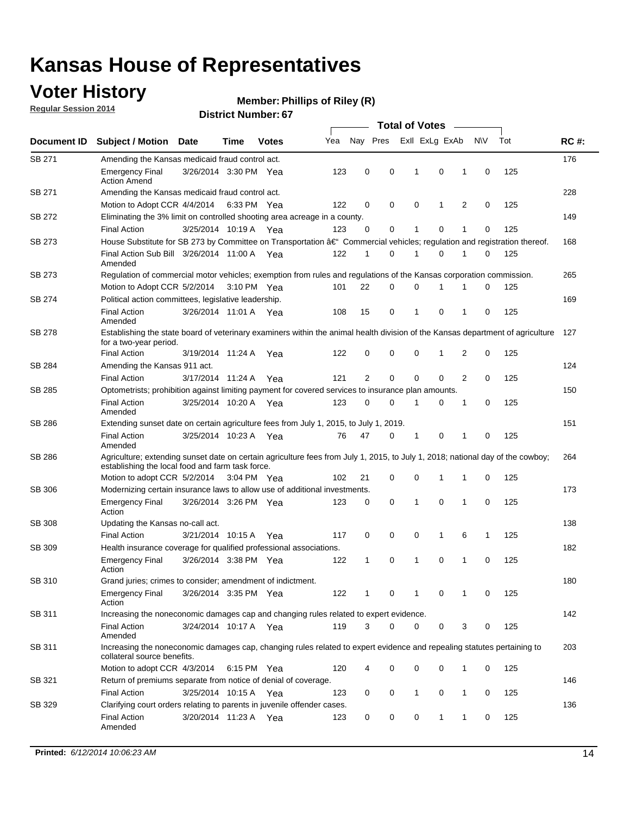## **Voter History**

**Regular Session 2014**

#### **Member: Phillips of Riley (R)**

|                    |                                                                                                                                                                                    |                       |      |              |     | <b>Total of Votes</b> |             |              |                |   |             |     |             |  |
|--------------------|------------------------------------------------------------------------------------------------------------------------------------------------------------------------------------|-----------------------|------|--------------|-----|-----------------------|-------------|--------------|----------------|---|-------------|-----|-------------|--|
| <b>Document ID</b> | <b>Subject / Motion Date</b>                                                                                                                                                       |                       | Time | <b>Votes</b> | Yea | Nay Pres              |             |              | Exll ExLg ExAb |   | N\V         | Tot | <b>RC#:</b> |  |
| <b>SB 271</b>      | Amending the Kansas medicaid fraud control act.                                                                                                                                    |                       |      |              |     |                       |             |              |                |   |             |     | 176         |  |
|                    | <b>Emergency Final</b><br><b>Action Amend</b>                                                                                                                                      | 3/26/2014 3:30 PM Yea |      |              | 123 | 0                     | 0           | 1            | $\mathbf 0$    | 1 | 0           | 125 |             |  |
| SB 271             | Amending the Kansas medicaid fraud control act.                                                                                                                                    |                       |      |              |     |                       |             |              |                |   |             |     | 228         |  |
|                    | Motion to Adopt CCR 4/4/2014 6:33 PM Yea                                                                                                                                           |                       |      |              | 122 | 0                     | 0           | 0            | 1              | 2 | 0           | 125 |             |  |
| SB 272             | Eliminating the 3% limit on controlled shooting area acreage in a county.                                                                                                          |                       |      |              |     |                       |             |              |                |   |             |     | 149         |  |
|                    | <b>Final Action</b>                                                                                                                                                                | 3/25/2014 10:19 A Yea |      |              | 123 | $\Omega$              | 0           | 1            | 0              | 1 | 0           | 125 |             |  |
| SB 273             | House Substitute for SB 273 by Committee on Transportation â€ <sup>4</sup> Commercial vehicles; regulation and registration thereof.                                               |                       |      |              |     |                       |             |              |                |   |             |     | 168         |  |
|                    | Final Action Sub Bill 3/26/2014 11:00 A Yea<br>Amended                                                                                                                             |                       |      |              | 122 | $\mathbf 1$           | 0           | -1           | 0              | 1 | 0           | 125 |             |  |
| SB 273             | Regulation of commercial motor vehicles; exemption from rules and regulations of the Kansas corporation commission.                                                                |                       |      |              |     |                       |             |              |                |   |             |     | 265         |  |
|                    | Motion to Adopt CCR 5/2/2014 3:10 PM Yea                                                                                                                                           |                       |      |              | 101 | 22                    | 0           | 0            | 1              | 1 | 0           | 125 |             |  |
| SB 274             | Political action committees, legislative leadership.                                                                                                                               |                       |      |              |     |                       |             |              |                |   |             |     | 169         |  |
|                    | <b>Final Action</b><br>Amended                                                                                                                                                     | 3/26/2014 11:01 A Yea |      |              | 108 | 15                    | 0           | $\mathbf{1}$ | 0              | 1 | 0           | 125 |             |  |
| SB 278             | Establishing the state board of veterinary examiners within the animal health division of the Kansas department of agriculture<br>for a two-year period.                           |                       |      |              |     |                       |             |              |                |   |             |     | 127         |  |
|                    | <b>Final Action</b>                                                                                                                                                                | 3/19/2014 11:24 A     |      | Yea          | 122 | 0                     | 0           | 0            | $\mathbf 1$    | 2 | 0           | 125 |             |  |
| SB 284             | Amending the Kansas 911 act.<br><b>Final Action</b>                                                                                                                                | 3/17/2014 11:24 A     |      | Yea          | 121 | 2                     | $\mathbf 0$ | $\mathbf 0$  | 0              | 2 | $\Omega$    | 125 | 124         |  |
| SB 285             | Optometrists; prohibition against limiting payment for covered services to insurance plan amounts.                                                                                 |                       |      |              |     |                       |             |              |                |   |             |     | 150         |  |
|                    | <b>Final Action</b><br>Amended                                                                                                                                                     | 3/25/2014 10:20 A     |      | Yea          | 123 | 0                     | 0           | 1            | 0              | 1 | 0           | 125 |             |  |
| SB 286             | Extending sunset date on certain agriculture fees from July 1, 2015, to July 1, 2019.                                                                                              |                       |      |              |     |                       |             |              |                |   |             |     | 151         |  |
|                    | <b>Final Action</b><br>Amended                                                                                                                                                     | 3/25/2014 10:23 A Yea |      |              | 76  | 47                    | 0           | $\mathbf 1$  | 0              | 1 | 0           | 125 |             |  |
| SB 286             | Agriculture; extending sunset date on certain agriculture fees from July 1, 2015, to July 1, 2018; national day of the cowboy;<br>establishing the local food and farm task force. |                       |      |              |     |                       |             |              |                |   |             |     | 264         |  |
|                    | Motion to adopt CCR 5/2/2014 3:04 PM Yea                                                                                                                                           |                       |      |              | 102 | 21                    | 0           | 0            | $\mathbf 1$    | 1 | 0           | 125 |             |  |
| SB 306             | Modernizing certain insurance laws to allow use of additional investments.                                                                                                         |                       |      |              |     |                       |             |              |                |   |             |     | 173         |  |
|                    | <b>Emergency Final</b><br>Action                                                                                                                                                   | 3/26/2014 3:26 PM Yea |      |              | 123 | 0                     | 0           | $\mathbf{1}$ | 0              | 1 | 0           | 125 |             |  |
| <b>SB 308</b>      | Updating the Kansas no-call act.                                                                                                                                                   |                       |      |              |     |                       |             |              |                |   |             |     | 138         |  |
|                    | <b>Final Action</b>                                                                                                                                                                | 3/21/2014 10:15 A     |      | Yea          | 117 | 0                     | 0           | 0            | 1              | 6 | 1           | 125 |             |  |
| SB 309             | Health insurance coverage for qualified professional associations.                                                                                                                 |                       |      |              |     |                       |             |              |                |   |             |     | 182         |  |
|                    | <b>Emergency Final</b><br>Action                                                                                                                                                   | 3/26/2014 3:38 PM Yea |      |              | 122 | $\mathbf{1}$          | 0           | 1            | 0              | 1 | $\mathbf 0$ | 125 |             |  |
| SB 310             | Grand juries; crimes to consider; amendment of indictment.                                                                                                                         |                       |      |              |     |                       |             |              |                |   |             |     | 180         |  |
|                    | <b>Emergency Final</b><br>Action                                                                                                                                                   | 3/26/2014 3:35 PM Yea |      |              | 122 | 1                     | 0           | -1           | 0              | 1 | 0           | 125 |             |  |
| SB 311             | Increasing the noneconomic damages cap and changing rules related to expert evidence.                                                                                              |                       |      |              |     |                       |             |              |                |   |             |     | 142         |  |
|                    | <b>Final Action</b><br>Amended                                                                                                                                                     | 3/24/2014 10:17 A Yea |      |              | 119 | 3                     | 0           | 0            | 0              | 3 | 0           | 125 |             |  |
| SB 311             | Increasing the noneconomic damages cap, changing rules related to expert evidence and repealing statutes pertaining to<br>collateral source benefits.                              |                       |      |              |     |                       |             |              |                |   |             |     | 203         |  |
|                    | Motion to adopt CCR 4/3/2014 6:15 PM Yea                                                                                                                                           |                       |      |              | 120 | 4                     | 0           | 0            | 0              | 1 | 0           | 125 |             |  |
| SB 321             | Return of premiums separate from notice of denial of coverage.                                                                                                                     |                       |      |              |     |                       |             |              |                |   |             |     | 146         |  |
|                    | <b>Final Action</b>                                                                                                                                                                | 3/25/2014 10:15 A Yea |      |              | 123 | 0                     | 0           | $\mathbf{1}$ | 0              | 1 | 0           | 125 |             |  |
| SB 329             | Clarifying court orders relating to parents in juvenile offender cases.<br><b>Final Action</b><br>Amended                                                                          | 3/20/2014 11:23 A Yea |      |              | 123 | 0                     | 0           | 0            | 1              | 1 | 0           | 125 | 136         |  |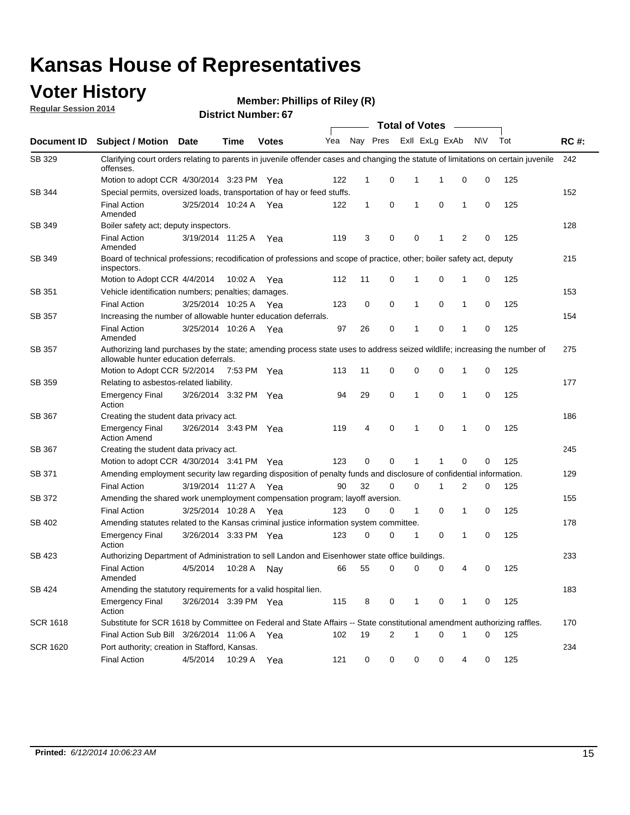### **Voter History**

**Regular Session 2014**

**Member: Phillips of Riley (R)** 

|                 |                                                                                                                                                                    |                       |             |              |     |              |                |              | <b>Total of Votes</b> |                |             |     |             |
|-----------------|--------------------------------------------------------------------------------------------------------------------------------------------------------------------|-----------------------|-------------|--------------|-----|--------------|----------------|--------------|-----------------------|----------------|-------------|-----|-------------|
| Document ID     | <b>Subject / Motion</b>                                                                                                                                            | Date                  | Time        | <b>Votes</b> | Yea | Nay Pres     |                |              | Exll ExLg ExAb        |                | <b>NV</b>   | Tot | <b>RC#:</b> |
| SB 329          | Clarifying court orders relating to parents in juvenile offender cases and changing the statute of limitations on certain juvenile<br>offenses.                    |                       |             |              |     |              |                |              |                       |                |             |     | 242         |
|                 | Motion to adopt CCR 4/30/2014 3:23 PM Yea                                                                                                                          |                       |             |              | 122 | 1            | 0              | 1            | 1                     | 0              | 0           | 125 |             |
| SB 344          | Special permits, oversized loads, transportation of hay or feed stuffs.                                                                                            |                       |             |              |     |              |                |              |                       |                |             |     | 152         |
|                 | <b>Final Action</b><br>Amended                                                                                                                                     | 3/25/2014 10:24 A     |             | Yea          | 122 | $\mathbf{1}$ | 0              | 1            | 0                     | 1              | 0           | 125 |             |
| SB 349          | Boiler safety act; deputy inspectors.                                                                                                                              |                       |             |              |     |              |                |              |                       |                |             |     | 128         |
|                 | <b>Final Action</b><br>Amended                                                                                                                                     | 3/19/2014 11:25 A     |             | Yea          | 119 | 3            | 0              | 0            | 1                     | $\overline{2}$ | $\mathbf 0$ | 125 |             |
| SB 349          | Board of technical professions; recodification of professions and scope of practice, other; boiler safety act, deputy<br>inspectors.                               |                       |             |              |     |              |                |              |                       |                |             |     | 215         |
|                 | Motion to Adopt CCR 4/4/2014                                                                                                                                       |                       | 10:02 A     | Yea          | 112 | 11           | 0              | 1            | 0                     | 1              | 0           | 125 |             |
| SB 351          | Vehicle identification numbers; penalties; damages.                                                                                                                |                       |             |              |     |              |                |              |                       |                |             |     | 153         |
|                 | <b>Final Action</b>                                                                                                                                                | 3/25/2014 10:25 A     |             | Yea          | 123 | 0            | 0              | 1            | 0                     | 1              | 0           | 125 |             |
| SB 357          | Increasing the number of allowable hunter education deferrals.                                                                                                     |                       |             |              |     |              |                |              |                       |                |             |     | 154         |
|                 | <b>Final Action</b><br>Amended                                                                                                                                     | 3/25/2014 10:26 A     |             | Yea          | 97  | 26           | 0              | 1            | 0                     | 1              | 0           | 125 |             |
| <b>SB 357</b>   | Authorizing land purchases by the state; amending process state uses to address seized wildlife; increasing the number of<br>allowable hunter education deferrals. |                       |             |              |     |              |                |              |                       |                |             |     | 275         |
|                 | Motion to Adopt CCR 5/2/2014                                                                                                                                       |                       | 7:53 PM Yea |              | 113 | 11           | 0              | 0            | 0                     | 1              | 0           | 125 |             |
| SB 359          | Relating to asbestos-related liability.                                                                                                                            |                       |             |              |     |              |                |              |                       |                |             |     | 177         |
|                 | <b>Emergency Final</b><br>Action                                                                                                                                   | 3/26/2014 3:32 PM Yea |             |              | 94  | 29           | $\mathbf 0$    | 1            | 0                     | $\mathbf 1$    | 0           | 125 |             |
| <b>SB 367</b>   | Creating the student data privacy act.                                                                                                                             |                       |             |              |     |              |                |              |                       |                |             |     | 186         |
|                 | <b>Emergency Final</b><br><b>Action Amend</b>                                                                                                                      | 3/26/2014 3:43 PM Yea |             |              | 119 | 4            | 0              | 1            | $\mathbf 0$           | 1              | 0           | 125 |             |
| SB 367          | Creating the student data privacy act.                                                                                                                             |                       |             |              |     |              |                |              |                       |                |             |     | 245         |
|                 | Motion to adopt CCR 4/30/2014 3:41 PM Yea                                                                                                                          |                       |             |              | 123 | 0            | 0              | 1            | 1                     | $\mathbf 0$    | 0           | 125 |             |
| SB 371          | Amending employment security law regarding disposition of penalty funds and disclosure of confidential information.                                                |                       |             |              |     |              |                |              |                       |                |             |     | 129         |
|                 | <b>Final Action</b>                                                                                                                                                | 3/19/2014 11:27 A     |             | Yea          | 90  | 32           | $\mathbf 0$    | 0            | 1                     | 2              | 0           | 125 |             |
| SB 372          | Amending the shared work unemployment compensation program; layoff aversion.                                                                                       |                       |             |              |     |              |                |              |                       |                |             |     | 155         |
|                 | <b>Final Action</b>                                                                                                                                                | 3/25/2014 10:28 A     |             | Yea          | 123 | 0            | 0              | $\mathbf{1}$ | 0                     | 1              | 0           | 125 |             |
| SB 402          | Amending statutes related to the Kansas criminal justice information system committee.                                                                             |                       |             |              |     |              |                |              |                       |                |             |     | 178         |
|                 | <b>Emergency Final</b><br>Action                                                                                                                                   | 3/26/2014 3:33 PM     |             | Yea          | 123 | 0            | 0              | 1            | 0                     | 1              | 0           | 125 |             |
| SB 423          | Authorizing Department of Administration to sell Landon and Eisenhower state office buildings.                                                                     |                       |             |              |     |              |                |              |                       |                |             |     | 233         |
|                 | <b>Final Action</b><br>Amended                                                                                                                                     | 4/5/2014              | 10:28 A     | Nay          | 66  | 55           | 0              | 0            | 0                     | 4              | 0           | 125 |             |
| SB 424          | Amending the statutory requirements for a valid hospital lien.                                                                                                     |                       |             |              |     |              |                |              |                       |                |             |     | 183         |
|                 | <b>Emergency Final</b><br>Action                                                                                                                                   | 3/26/2014 3:39 PM Yea |             |              | 115 | 8            | 0              | 1            | 0                     | 1              | 0           | 125 |             |
| <b>SCR 1618</b> | Substitute for SCR 1618 by Committee on Federal and State Affairs -- State constitutional amendment authorizing raffles.                                           |                       |             |              |     |              |                |              |                       |                |             |     | 170         |
|                 | Final Action Sub Bill 3/26/2014 11:06 A Yea                                                                                                                        |                       |             |              | 102 | 19           | $\overline{2}$ | 1            | 0                     | 1              | 0           | 125 |             |
| <b>SCR 1620</b> | Port authority; creation in Stafford, Kansas.                                                                                                                      |                       |             |              |     |              |                |              |                       |                |             |     | 234         |
|                 | <b>Final Action</b>                                                                                                                                                | 4/5/2014              | 10:29 A     | Yea          | 121 | 0            | 0              | 0            | 0                     | 4              | 0           | 125 |             |